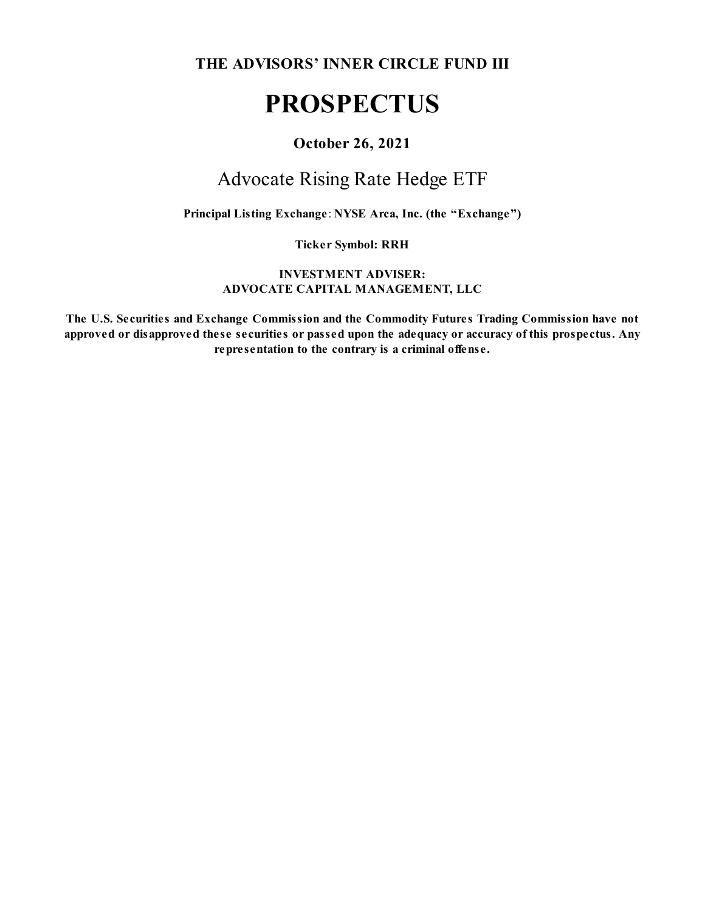**THE ADVISORS' INNER CIRCLE FUND III**

## **PROSPECTUS**

## **October 26, 2021**

## Advocate Rising Rate Hedge ETF

**Principal Listing Exchange**: **NYSE Arca, Inc. (the "Exchange")**

**Ticker Symbol: RRH**

**INVESTMENT ADVISER: ADVOCATE CAPITAL MANAGEMENT, LLC**

**The U.S. Securities and Exchange Commission and the Commodity Futures Trading Commission have not approved or disapproved these securities or passed upon the adequacy or accuracy of this prospectus. Any representation to the contrary is a criminal offense.**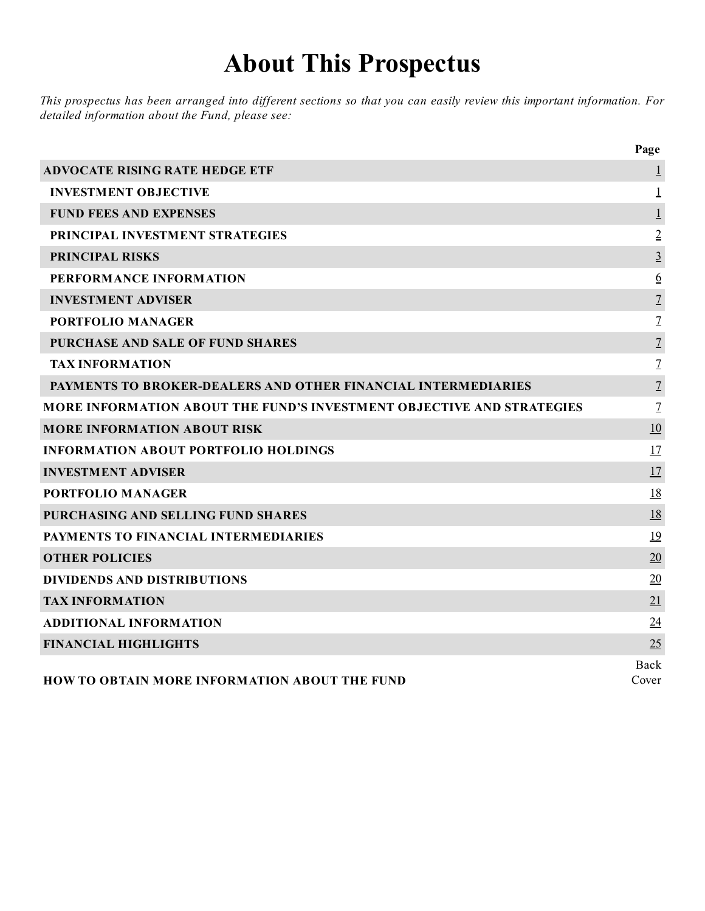# **About This Prospectus**

This prospectus has been arranged into different sections so that you can easily review this important information. For *detailed information about the Fund, please see:*

|                                                                       | Page           |
|-----------------------------------------------------------------------|----------------|
| <b>ADVOCATE RISING RATE HEDGE ETF</b>                                 | $\perp$        |
| <b>INVESTMENT OBJECTIVE</b>                                           | 1              |
| <b>FUND FEES AND EXPENSES</b>                                         | $\perp$        |
| PRINCIPAL INVESTMENT STRATEGIES                                       | $\overline{2}$ |
| PRINCIPAL RISKS                                                       | $\overline{3}$ |
| PERFORMANCE INFORMATION                                               | <u>6</u>       |
| <b>INVESTMENT ADVISER</b>                                             | $\overline{1}$ |
| <b>PORTFOLIO MANAGER</b>                                              | $\overline{1}$ |
| PURCHASE AND SALE OF FUND SHARES                                      | $\overline{1}$ |
| <b>TAX INFORMATION</b>                                                | $\overline{1}$ |
| <b>PAYMENTS TO BROKER-DEALERS AND OTHER FINANCIAL INTERMEDIARIES</b>  | $\overline{1}$ |
| MORE INFORMATION ABOUT THE FUND'S INVESTMENT OBJECTIVE AND STRATEGIES | $\overline{1}$ |
| <b>MORE INFORMATION ABOUT RISK</b>                                    | 10             |
| <b>INFORMATION ABOUT PORTFOLIO HOLDINGS</b>                           | 17             |
| <b>INVESTMENT ADVISER</b>                                             | 17             |
| <b>PORTFOLIO MANAGER</b>                                              | 18             |
| PURCHASING AND SELLING FUND SHARES                                    | 18             |
| PAYMENTS TO FINANCIAL INTERMEDIARIES                                  | 19             |
| <b>OTHER POLICIES</b>                                                 | 20             |
| <b>DIVIDENDS AND DISTRIBUTIONS</b>                                    | 20             |
| <b>TAX INFORMATION</b>                                                | 21             |
| <b>ADDITIONAL INFORMATION</b>                                         | 24             |
| <b>FINANCIAL HIGHLIGHTS</b>                                           | 25             |
| HOW TO OBTAIN MORE INFORMATION ABOUT THE FUND                         | Back<br>Cover  |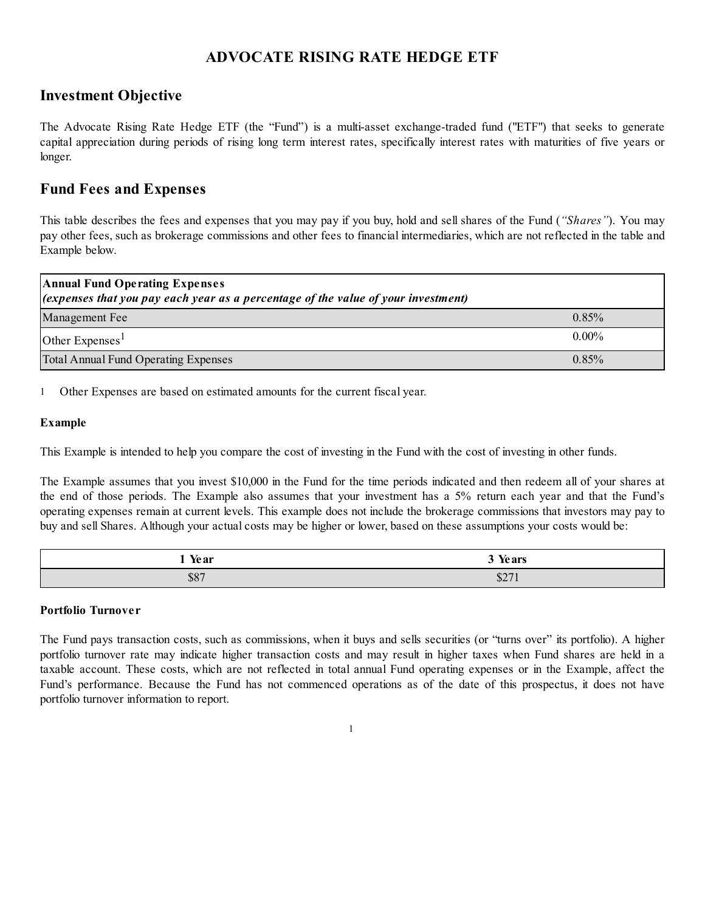## **ADVOCATE RISING RATE HEDGE ETF**

## **Investment Objective**

The Advocate Rising Rate Hedge ETF (the "Fund") is a multi-asset exchange-traded fund ("ETF") that seeks to generate capital appreciation during periods of rising long term interest rates, specifically interest rates with maturities of five years or longer.

## **Fund Fees and Expenses**

This table describes the fees and expenses that you may pay if you buy, hold and sell shares of the Fund (*"Shares"*). You may pay other fees, such as brokerage commissions and other fees to financial intermediaries, which are not reflected in the table and Example below.

| <b>Annual Fund Operating Expenses</b>                                                      |          |  |
|--------------------------------------------------------------------------------------------|----------|--|
| $\alpha$ (expenses that you pay each year as a percentage of the value of your investment) |          |  |
| Management Fee                                                                             | 0.85%    |  |
| Other Expenses <sup>1</sup>                                                                | $0.00\%$ |  |
| Total Annual Fund Operating Expenses                                                       | 0.85%    |  |

1 Other Expenses are based on estimated amounts for the current fiscal year.

#### **Example**

This Example is intended to help you compare the cost of investing in the Fund with the cost of investing in other funds.

The Example assumes that you invest \$10,000 in the Fund for the time periods indicated and then redeem all of your shares at the end of those periods. The Example also assumes that your investment has a 5% return each year and that the Fund's operating expenses remain at current levels. This example does not include the brokerage commissions that investors may pay to buy and sell Shares. Although your actual costs may be higher or lower, based on these assumptions your costs would be:

| $ -$<br>Voor<br>1 IV al | .<br>$\sqrt{2}$<br>IV al 5 |
|-------------------------|----------------------------|
| \$87                    | $0^{\circ}$<br>Φ∠          |

#### **Portfolio Turnover**

The Fund pays transaction costs, such as commissions, when it buys and sells securities (or "turns over" its portfolio). A higher portfolio turnover rate may indicate higher transaction costs and may result in higher taxes when Fund shares are held in a taxable account. These costs, which are not reflected in total annual Fund operating expenses or in the Example, affect the Fund's performance. Because the Fund has not commenced operations as of the date of this prospectus, it does not have portfolio turnover information to report.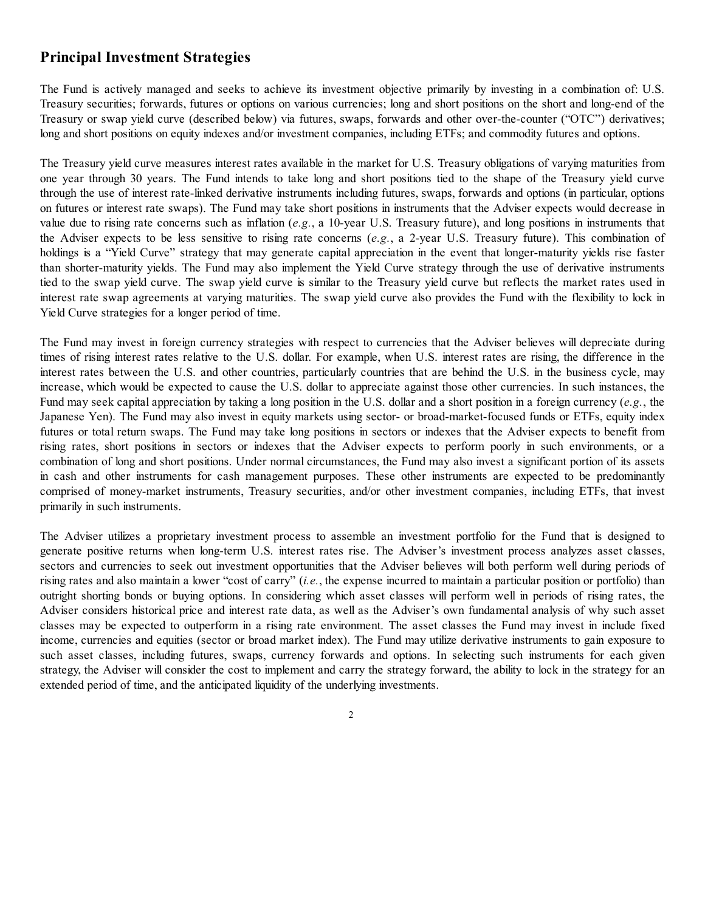## **Principal Investment Strategies**

The Fund is actively managed and seeks to achieve its investment objective primarily by investing in a combination of: U.S. Treasury securities; forwards, futures or options on various currencies; long and short positions on the short and long-end of the Treasury or swap yield curve (described below) via futures, swaps, forwards and other over-the-counter ("OTC") derivatives; long and short positions on equity indexes and/or investment companies, including ETFs; and commodity futures and options.

The Treasury yield curve measures interest rates available in the market for U.S. Treasury obligations of varying maturities from one year through 30 years. The Fund intends to take long and short positions tied to the shape of the Treasury yield curve through the use of interest rate-linked derivative instruments including futures, swaps, forwards and options (in particular, options on futures or interest rate swaps). The Fund may take short positions in instruments that the Adviser expects would decrease in value due to rising rate concerns such as inflation (*e.g.*, a 10-year U.S. Treasury future), and long positions in instruments that the Adviser expects to be less sensitive to rising rate concerns (*e.g.*, a 2-year U.S. Treasury future). This combination of holdings is a "Yield Curve" strategy that may generate capital appreciation in the event that longer-maturity yields rise faster than shorter-maturity yields. The Fund may also implement the Yield Curve strategy through the use of derivative instruments tied to the swap yield curve. The swap yield curve is similar to the Treasury yield curve but reflects the market rates used in interest rate swap agreements at varying maturities. The swap yield curve also provides the Fund with the flexibility to lock in Yield Curve strategies for a longer period of time.

The Fund may invest in foreign currency strategies with respect to currencies that the Adviser believes will depreciate during times of rising interest rates relative to the U.S. dollar. For example, when U.S. interest rates are rising, the difference in the interest rates between the U.S. and other countries, particularly countries that are behind the U.S. in the business cycle, may increase, which would be expected to cause the U.S. dollar to appreciate against those other currencies. In such instances, the Fund may seek capital appreciation by taking a long position in the U.S. dollar and a short position in a foreign currency (*e.g.*, the Japanese Yen). The Fund may also invest in equity markets using sector- or broad-market-focused funds or ETFs, equity index futures or total return swaps. The Fund may take long positions in sectors or indexes that the Adviser expects to benefit from rising rates, short positions in sectors or indexes that the Adviser expects to perform poorly in such environments, or a combination of long and short positions. Under normal circumstances, the Fund may also invest a significant portion of its assets in cash and other instruments for cash management purposes. These other instruments are expected to be predominantly comprised of money-market instruments, Treasury securities, and/or other investment companies, including ETFs, that invest primarily in such instruments.

The Adviser utilizes a proprietary investment process to assemble an investment portfolio for the Fund that is designed to generate positive returns when long-term U.S. interest rates rise. The Adviser's investment process analyzes asset classes, sectors and currencies to seek out investment opportunities that the Adviser believes will both perform well during periods of rising rates and also maintain a lower "cost of carry" (*i.e.*, the expense incurred to maintain a particular position or portfolio) than outright shorting bonds or buying options. In considering which asset classes will perform well in periods of rising rates, the Adviser considers historical price and interest rate data, as well as the Adviser's own fundamental analysis of why such asset classes may be expected to outperform in a rising rate environment. The asset classes the Fund may invest in include fixed income, currencies and equities (sector or broad market index). The Fund may utilize derivative instruments to gain exposure to such asset classes, including futures, swaps, currency forwards and options. In selecting such instruments for each given strategy, the Adviser will consider the cost to implement and carry the strategy forward, the ability to lock in the strategy for an extended period of time, and the anticipated liquidity of the underlying investments.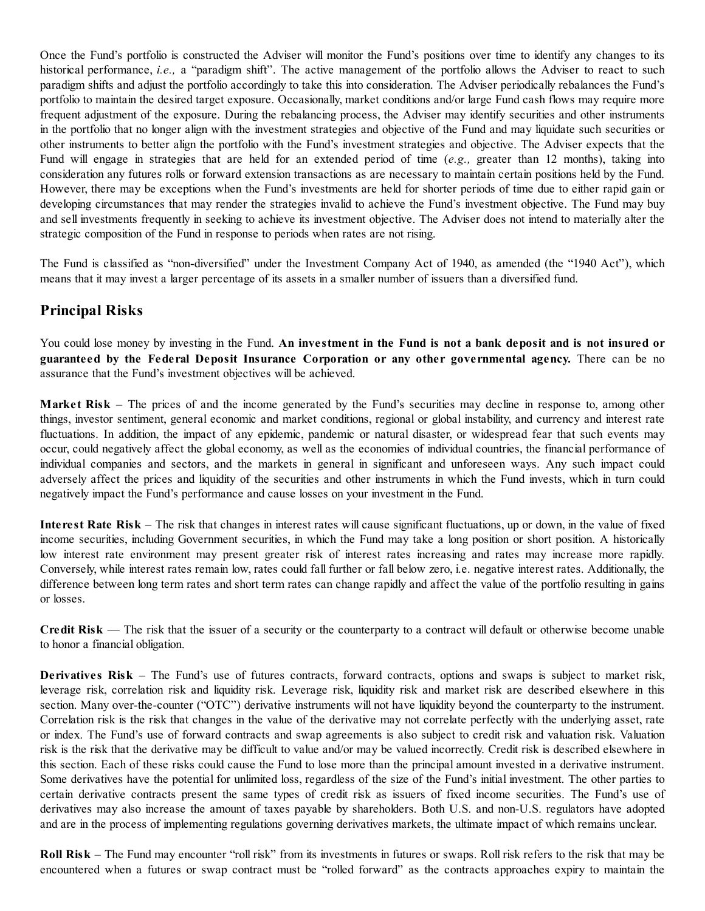Once the Fund's portfolio is constructed the Adviser will monitor the Fund's positions over time to identify any changes to its historical performance, *i.e.*, a "paradigm shift". The active management of the portfolio allows the Adviser to react to such paradigm shifts and adjust the portfolio accordingly to take this into consideration. The Adviser periodically rebalances the Fund's portfolio to maintain the desired target exposure. Occasionally, market conditions and/or large Fund cash flows may require more frequent adjustment of the exposure. During the rebalancing process, the Adviser may identify securities and other instruments in the portfolio that no longer align with the investment strategies and objective of the Fund and may liquidate such securities or other instruments to better align the portfolio with the Fund's investment strategies and objective. The Adviser expects that the Fund will engage in strategies that are held for an extended period of time (*e.g.,* greater than 12 months), taking into consideration any futures rolls or forward extension transactions as are necessary to maintain certain positions held by the Fund. However, there may be exceptions when the Fund's investments are held for shorter periods of time due to either rapid gain or developing circumstances that may render the strategies invalid to achieve the Fund's investment objective. The Fund may buy and sell investments frequently in seeking to achieve its investment objective. The Adviser does not intend to materially alter the strategic composition of the Fund in response to periods when rates are not rising.

The Fund is classified as "non-diversified" under the Investment Company Act of 1940, as amended (the "1940 Act"), which means that it may invest a larger percentage of its assets in a smaller number of issuers than a diversified fund.

## **Principal Risks**

You could lose money by investing in the Fund. **An investment in the Fund is not a bank deposit and is not insured or guaranteed by the Federal Deposit Insurance Corporation or any other governmental agency.** There can be no assurance that the Fund's investment objectives will be achieved.

**Market Risk** – The prices of and the income generated by the Fund's securities may decline in response to, among other things, investor sentiment, general economic and market conditions, regional or global instability, and currency and interest rate fluctuations. In addition, the impact of any epidemic, pandemic or natural disaster, or widespread fear that such events may occur, could negatively affect the global economy, as well as the economies of individual countries, the financial performance of individual companies and sectors, and the markets in general in significant and unforeseen ways. Any such impact could adversely affect the prices and liquidity of the securities and other instruments in which the Fund invests, which in turn could negatively impact the Fund's performance and cause losses on your investment in the Fund.

**Interest Rate Risk** – The risk that changes in interest rates will cause significant fluctuations, up or down, in the value of fixed income securities, including Government securities, in which the Fund may take a long position or short position. A historically low interest rate environment may present greater risk of interest rates increasing and rates may increase more rapidly. Conversely, while interest rates remain low, rates could fall further or fall below zero, i.e. negative interest rates. Additionally, the difference between long term rates and short term rates can change rapidly and affect the value of the portfolio resulting in gains or losses.

**Credit Risk** — The risk that the issuer of a security or the counterparty to a contract will default or otherwise become unable to honor a financial obligation.

**Derivatives Risk** – The Fund's use of futures contracts, forward contracts, options and swaps is subject to market risk, leverage risk, correlation risk and liquidity risk. Leverage risk, liquidity risk and market risk are described elsewhere in this section. Many over-the-counter ("OTC") derivative instruments will not have liquidity beyond the counterparty to the instrument. Correlation risk is the risk that changes in the value of the derivative may not correlate perfectly with the underlying asset, rate or index. The Fund's use of forward contracts and swap agreements is also subject to credit risk and valuation risk. Valuation risk is the risk that the derivative may be difficult to value and/or may be valued incorrectly. Credit risk is described elsewhere in this section. Each of these risks could cause the Fund to lose more than the principal amount invested in a derivative instrument. Some derivatives have the potential for unlimited loss, regardless of the size of the Fund's initial investment. The other parties to certain derivative contracts present the same types of credit risk as issuers of fixed income securities. The Fund's use of derivatives may also increase the amount of taxes payable by shareholders. Both U.S. and non-U.S. regulators have adopted and are in the process of implementing regulations governing derivatives markets, the ultimate impact of which remains unclear.

**Roll Risk** – The Fund may encounter "roll risk" from its investments in futures or swaps. Roll risk refers to the risk that may be encountered when a futures or swap contract must be "rolled forward" as the contracts approaches expiry to maintain the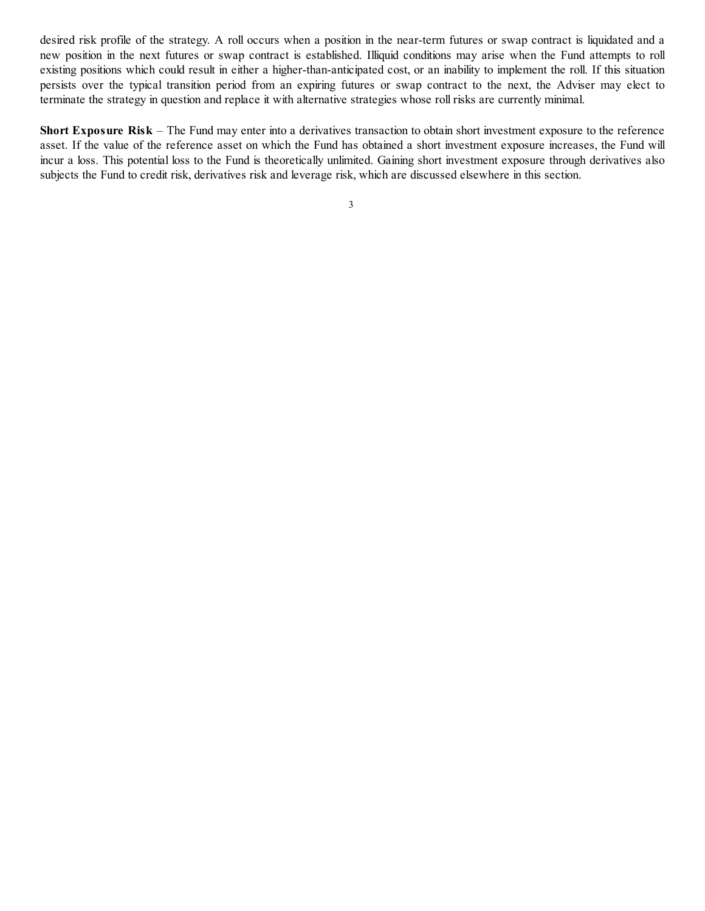desired risk profile of the strategy. A roll occurs when a position in the near-term futures or swap contract is liquidated and a new position in the next futures or swap contract is established. Illiquid conditions may arise when the Fund attempts to roll existing positions which could result in either a higher-than-anticipated cost, or an inability to implement the roll. If this situation persists over the typical transition period from an expiring futures or swap contract to the next, the Adviser may elect to terminate the strategy in question and replace it with alternative strategies whose roll risks are currently minimal.

**Short Exposure Risk** – The Fund may enter into a derivatives transaction to obtain short investment exposure to the reference asset. If the value of the reference asset on which the Fund has obtained a short investment exposure increases, the Fund will incur a loss. This potential loss to the Fund is theoretically unlimited. Gaining short investment exposure through derivatives also subjects the Fund to credit risk, derivatives risk and leverage risk, which are discussed elsewhere in this section.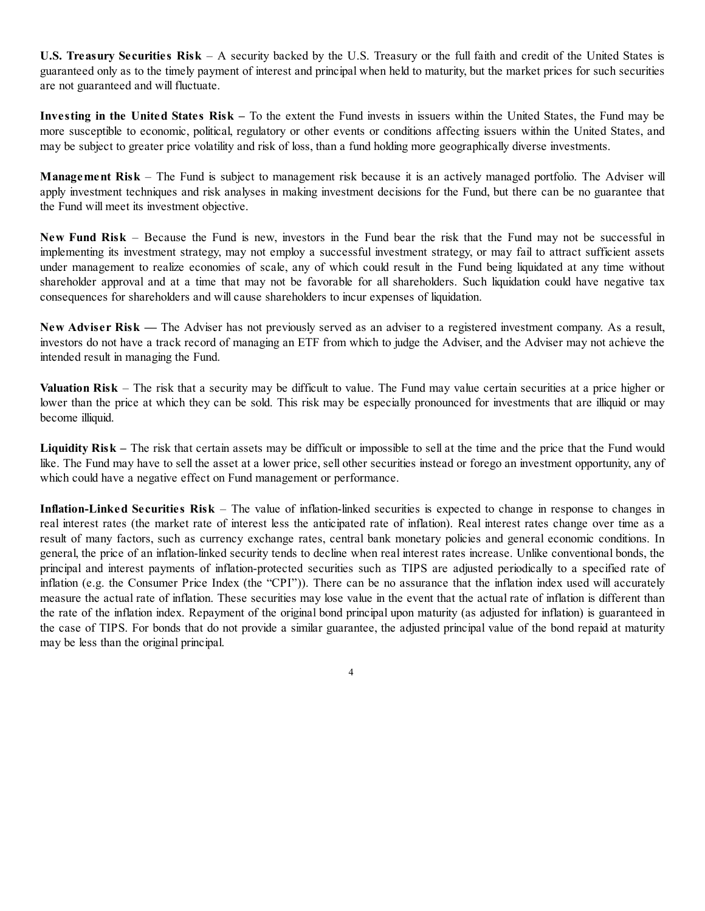**U.S. Treasury Securities Risk** – A security backed by the U.S. Treasury or the full faith and credit of the United States is guaranteed only as to the timely payment of interest and principal when held to maturity, but the market prices for such securities are not guaranteed and will fluctuate.

**Investing in the United States Risk –** To the extent the Fund invests in issuers within the United States, the Fund may be more susceptible to economic, political, regulatory or other events or conditions affecting issuers within the United States, and may be subject to greater price volatility and risk of loss, than a fund holding more geographically diverse investments.

**Management Risk** – The Fund is subject to management risk because it is an actively managed portfolio. The Adviser will apply investment techniques and risk analyses in making investment decisions for the Fund, but there can be no guarantee that the Fund will meet its investment objective.

**New Fund Risk** – Because the Fund is new, investors in the Fund bear the risk that the Fund may not be successful in implementing its investment strategy, may not employ a successful investment strategy, or may fail to attract sufficient assets under management to realize economies of scale, any of which could result in the Fund being liquidated at any time without shareholder approval and at a time that may not be favorable for all shareholders. Such liquidation could have negative tax consequences for shareholders and will cause shareholders to incur expenses of liquidation.

**New Adviser Risk —** The Adviser has not previously served as an adviser to a registered investment company. As a result, investors do not have a track record of managing an ETF from which to judge the Adviser, and the Adviser may not achieve the intended result in managing the Fund.

**Valuation Risk** – The risk that a security may be difficult to value. The Fund may value certain securities at a price higher or lower than the price at which they can be sold. This risk may be especially pronounced for investments that are illiquid or may become illiquid.

**Liquidity Risk –** The risk that certain assets may be difficult or impossible to sell at the time and the price that the Fund would like. The Fund may have to sell the asset at a lower price, sell other securities instead or forego an investment opportunity, any of which could have a negative effect on Fund management or performance.

**Inflation-Linked Securities Risk** – The value of inflation-linked securities is expected to change in response to changes in real interest rates (the market rate of interest less the anticipated rate of inflation). Real interest rates change over time as a result of many factors, such as currency exchange rates, central bank monetary policies and general economic conditions. In general, the price of an inflation-linked security tends to decline when real interest rates increase. Unlike conventional bonds, the principal and interest payments of inflation-protected securities such as TIPS are adjusted periodically to a specified rate of inflation (e.g. the Consumer Price Index (the "CPI")). There can be no assurance that the inflation index used will accurately measure the actual rate of inflation. These securities may lose value in the event that the actual rate of inflation is different than the rate of the inflation index. Repayment of the original bond principal upon maturity (as adjusted for inflation) is guaranteed in the case of TIPS. For bonds that do not provide a similar guarantee, the adjusted principal value of the bond repaid at maturity may be less than the original principal.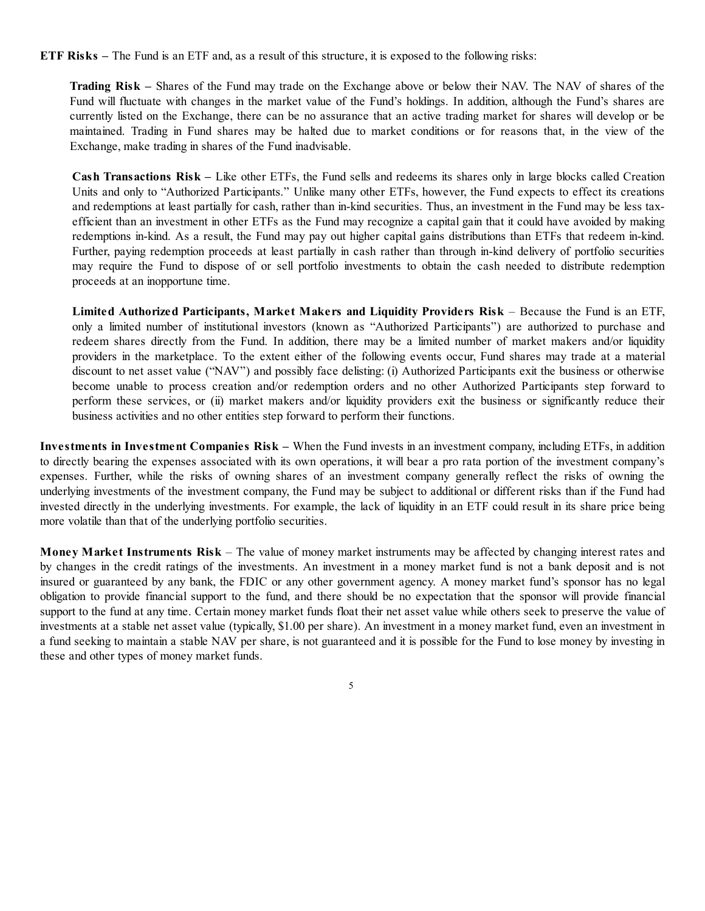**ETF Risks –** The Fund is an ETF and, as a result of this structure, it is exposed to the following risks:

**Trading Risk –** Shares of the Fund may trade on the Exchange above or below their NAV. The NAV of shares of the Fund will fluctuate with changes in the market value of the Fund's holdings. In addition, although the Fund's shares are currently listed on the Exchange, there can be no assurance that an active trading market for shares will develop or be maintained. Trading in Fund shares may be halted due to market conditions or for reasons that, in the view of the Exchange, make trading in shares of the Fund inadvisable.

**Cash Transactions Risk –** Like other ETFs, the Fund sells and redeems its shares only in large blocks called Creation Units and only to "Authorized Participants." Unlike many other ETFs, however, the Fund expects to effect its creations and redemptions at least partially for cash, rather than in-kind securities. Thus, an investment in the Fund may be less taxefficient than an investment in other ETFs as the Fund may recognize a capital gain that it could have avoided by making redemptions in-kind. As a result, the Fund may pay out higher capital gains distributions than ETFs that redeem in-kind. Further, paying redemption proceeds at least partially in cash rather than through in-kind delivery of portfolio securities may require the Fund to dispose of or sell portfolio investments to obtain the cash needed to distribute redemption proceeds at an inopportune time.

**Limited Authorized Participants, Market Makers and Liquidity Providers Risk** – Because the Fund is an ETF, only a limited number of institutional investors (known as "Authorized Participants") are authorized to purchase and redeem shares directly from the Fund. In addition, there may be a limited number of market makers and/or liquidity providers in the marketplace. To the extent either of the following events occur, Fund shares may trade at a material discount to net asset value ("NAV") and possibly face delisting: (i) Authorized Participants exit the business or otherwise become unable to process creation and/or redemption orders and no other Authorized Participants step forward to perform these services, or (ii) market makers and/or liquidity providers exit the business or significantly reduce their business activities and no other entities step forward to perform their functions.

**Investments in Investment Companies Risk –** When the Fund invests in an investment company, including ETFs, in addition to directly bearing the expenses associated with its own operations, it will bear a pro rata portion of the investment company's expenses. Further, while the risks of owning shares of an investment company generally reflect the risks of owning the underlying investments of the investment company, the Fund may be subject to additional or different risks than if the Fund had invested directly in the underlying investments. For example, the lack of liquidity in an ETF could result in its share price being more volatile than that of the underlying portfolio securities.

**Money Market Instruments Risk** – The value of money market instruments may be affected by changing interest rates and by changes in the credit ratings of the investments. An investment in a money market fund is not a bank deposit and is not insured or guaranteed by any bank, the FDIC or any other government agency. A money market fund's sponsor has no legal obligation to provide financial support to the fund, and there should be no expectation that the sponsor will provide financial support to the fund at any time. Certain money market funds float their net asset value while others seek to preserve the value of investments at a stable net asset value (typically, \$1.00 per share). An investment in a money market fund, even an investment in a fund seeking to maintain a stable NAV per share, is not guaranteed and it is possible for the Fund to lose money by investing in these and other types of money market funds.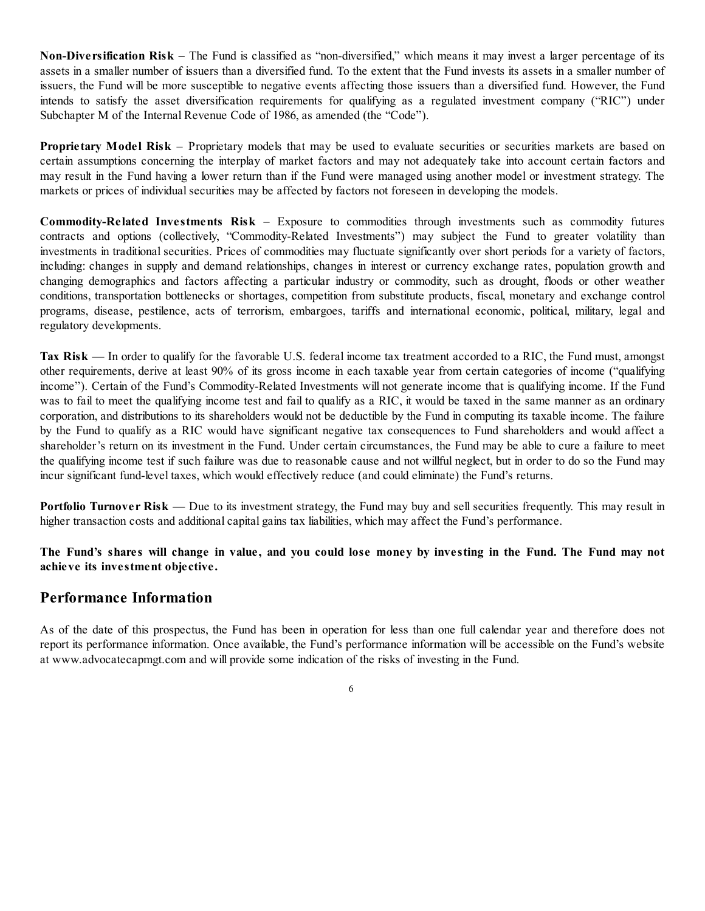**Non-Diversification Risk –** The Fund is classified as "non-diversified," which means it may invest a larger percentage of its assets in a smaller number of issuers than a diversified fund. To the extent that the Fund invests its assets in a smaller number of issuers, the Fund will be more susceptible to negative events affecting those issuers than a diversified fund. However, the Fund intends to satisfy the asset diversification requirements for qualifying as a regulated investment company ("RIC") under Subchapter M of the Internal Revenue Code of 1986, as amended (the "Code").

**Proprietary Model Risk** – Proprietary models that may be used to evaluate securities or securities markets are based on certain assumptions concerning the interplay of market factors and may not adequately take into account certain factors and may result in the Fund having a lower return than if the Fund were managed using another model or investment strategy. The markets or prices of individual securities may be affected by factors not foreseen in developing the models.

**Commodity-Related Investments Risk** – Exposure to commodities through investments such as commodity futures contracts and options (collectively, "Commodity-Related Investments") may subject the Fund to greater volatility than investments in traditional securities. Prices of commodities may fluctuate significantly over short periods for a variety of factors, including: changes in supply and demand relationships, changes in interest or currency exchange rates, population growth and changing demographics and factors affecting a particular industry or commodity, such as drought, floods or other weather conditions, transportation bottlenecks or shortages, competition from substitute products, fiscal, monetary and exchange control programs, disease, pestilence, acts of terrorism, embargoes, tariffs and international economic, political, military, legal and regulatory developments.

**Tax Risk** — In order to qualify for the favorable U.S. federal income tax treatment accorded to a RIC, the Fund must, amongst other requirements, derive at least 90% of its gross income in each taxable year from certain categories of income ("qualifying income"). Certain of the Fund's Commodity-Related Investments will not generate income that is qualifying income. If the Fund was to fail to meet the qualifying income test and fail to qualify as a RIC, it would be taxed in the same manner as an ordinary corporation, and distributions to its shareholders would not be deductible by the Fund in computing its taxable income. The failure by the Fund to qualify as a RIC would have significant negative tax consequences to Fund shareholders and would affect a shareholder's return on its investment in the Fund. Under certain circumstances, the Fund may be able to cure a failure to meet the qualifying income test if such failure was due to reasonable cause and not willful neglect, but in order to do so the Fund may incur significant fund-level taxes, which would effectively reduce (and could eliminate) the Fund's returns.

**Portfolio Turnover Risk** — Due to its investment strategy, the Fund may buy and sell securities frequently. This may result in higher transaction costs and additional capital gains tax liabilities, which may affect the Fund's performance.

The Fund's shares will change in value, and you could lose money by investing in the Fund. The Fund may not **achieve its investment objective.**

## **Performance Information**

As of the date of this prospectus, the Fund has been in operation for less than one full calendar year and therefore does not report its performance information. Once available, the Fund's performance information will be accessible on the Fund's website at www.advocatecapmgt.com and will provide some indication of the risks of investing in the Fund.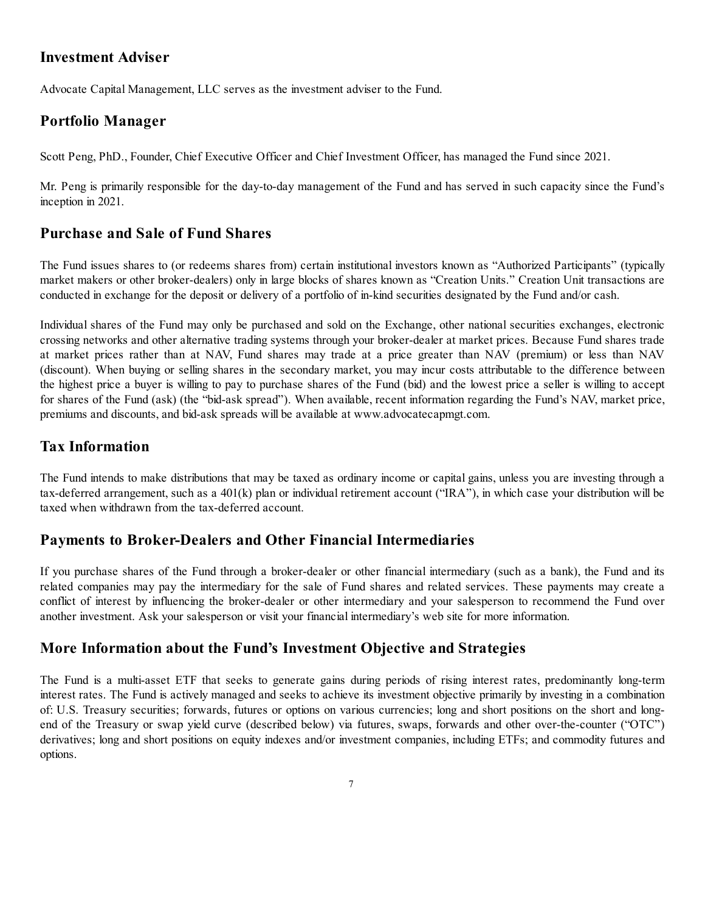## **Investment Adviser**

Advocate Capital Management, LLC serves as the investment adviser to the Fund.

## **Portfolio Manager**

Scott Peng, PhD., Founder, Chief Executive Officer and Chief Investment Officer, has managed the Fund since 2021.

Mr. Peng is primarily responsible for the day-to-day management of the Fund and has served in such capacity since the Fund's inception in 2021.

## **Purchase and Sale of Fund Shares**

The Fund issues shares to (or redeems shares from) certain institutional investors known as "Authorized Participants" (typically market makers or other broker-dealers) only in large blocks of shares known as "Creation Units." Creation Unit transactions are conducted in exchange for the deposit or delivery of a portfolio of in-kind securities designated by the Fund and/or cash.

Individual shares of the Fund may only be purchased and sold on the Exchange, other national securities exchanges, electronic crossing networks and other alternative trading systems through your broker-dealer at market prices. Because Fund shares trade at market prices rather than at NAV, Fund shares may trade at a price greater than NAV (premium) or less than NAV (discount). When buying or selling shares in the secondary market, you may incur costs attributable to the difference between the highest price a buyer is willing to pay to purchase shares of the Fund (bid) and the lowest price a seller is willing to accept for shares of the Fund (ask) (the "bid-ask spread"). When available, recent information regarding the Fund's NAV, market price, premiums and discounts, and bid-ask spreads will be available at www.advocatecapmgt.com.

## **Tax Information**

The Fund intends to make distributions that may be taxed as ordinary income or capital gains, unless you are investing through a tax-deferred arrangement, such as a 401(k) plan or individual retirement account ("IRA"), in which case your distribution will be taxed when withdrawn from the tax-deferred account.

## **Payments to Broker-Dealers and Other Financial Intermediaries**

If you purchase shares of the Fund through a broker-dealer or other financial intermediary (such as a bank), the Fund and its related companies may pay the intermediary for the sale of Fund shares and related services. These payments may create a conflict of interest by influencing the broker-dealer or other intermediary and your salesperson to recommend the Fund over another investment. Ask your salesperson or visit your financial intermediary's web site for more information.

## **More Information about the Fund's Investment Objective and Strategies**

The Fund is a multi-asset ETF that seeks to generate gains during periods of rising interest rates, predominantly long-term interest rates. The Fund is actively managed and seeks to achieve its investment objective primarily by investing in a combination of: U.S. Treasury securities; forwards, futures or options on various currencies; long and short positions on the short and longend of the Treasury or swap yield curve (described below) via futures, swaps, forwards and other over-the-counter ("OTC") derivatives; long and short positions on equity indexes and/or investment companies, including ETFs; and commodity futures and options.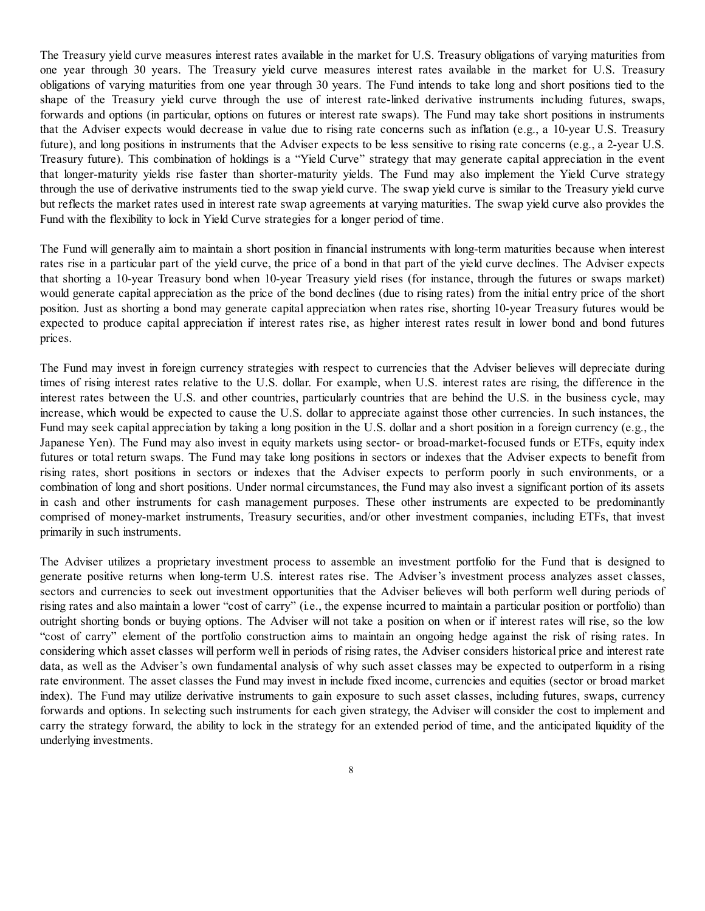The Treasury yield curve measures interest rates available in the market for U.S. Treasury obligations of varying maturities from one year through 30 years. The Treasury yield curve measures interest rates available in the market for U.S. Treasury obligations of varying maturities from one year through 30 years. The Fund intends to take long and short positions tied to the shape of the Treasury yield curve through the use of interest rate-linked derivative instruments including futures, swaps, forwards and options (in particular, options on futures or interest rate swaps). The Fund may take short positions in instruments that the Adviser expects would decrease in value due to rising rate concerns such as inflation (e.g., a 10-year U.S. Treasury future), and long positions in instruments that the Adviser expects to be less sensitive to rising rate concerns (e.g., a 2-year U.S. Treasury future). This combination of holdings is a "Yield Curve" strategy that may generate capital appreciation in the event that longer-maturity yields rise faster than shorter-maturity yields. The Fund may also implement the Yield Curve strategy through the use of derivative instruments tied to the swap yield curve. The swap yield curve is similar to the Treasury yield curve but reflects the market rates used in interest rate swap agreements at varying maturities. The swap yield curve also provides the Fund with the flexibility to lock in Yield Curve strategies for a longer period of time.

The Fund will generally aim to maintain a short position in financial instruments with long-term maturities because when interest rates rise in a particular part of the yield curve, the price of a bond in that part of the yield curve declines. The Adviser expects that shorting a 10-year Treasury bond when 10-year Treasury yield rises (for instance, through the futures or swaps market) would generate capital appreciation as the price of the bond declines (due to rising rates) from the initial entry price of the short position. Just as shorting a bond may generate capital appreciation when rates rise, shorting 10-year Treasury futures would be expected to produce capital appreciation if interest rates rise, as higher interest rates result in lower bond and bond futures prices.

The Fund may invest in foreign currency strategies with respect to currencies that the Adviser believes will depreciate during times of rising interest rates relative to the U.S. dollar. For example, when U.S. interest rates are rising, the difference in the interest rates between the U.S. and other countries, particularly countries that are behind the U.S. in the business cycle, may increase, which would be expected to cause the U.S. dollar to appreciate against those other currencies. In such instances, the Fund may seek capital appreciation by taking a long position in the U.S. dollar and a short position in a foreign currency (e.g., the Japanese Yen). The Fund may also invest in equity markets using sector- or broad-market-focused funds or ETFs, equity index futures or total return swaps. The Fund may take long positions in sectors or indexes that the Adviser expects to benefit from rising rates, short positions in sectors or indexes that the Adviser expects to perform poorly in such environments, or a combination of long and short positions. Under normal circumstances, the Fund may also invest a significant portion of its assets in cash and other instruments for cash management purposes. These other instruments are expected to be predominantly comprised of money-market instruments, Treasury securities, and/or other investment companies, including ETFs, that invest primarily in such instruments.

The Adviser utilizes a proprietary investment process to assemble an investment portfolio for the Fund that is designed to generate positive returns when long-term U.S. interest rates rise. The Adviser's investment process analyzes asset classes, sectors and currencies to seek out investment opportunities that the Adviser believes will both perform well during periods of rising rates and also maintain a lower "cost of carry" (i.e., the expense incurred to maintain a particular position or portfolio) than outright shorting bonds or buying options. The Adviser will not take a position on when or if interest rates will rise, so the low "cost of carry" element of the portfolio construction aims to maintain an ongoing hedge against the risk of rising rates. In considering which asset classes will perform well in periods of rising rates, the Adviser considers historical price and interest rate data, as well as the Adviser's own fundamental analysis of why such asset classes may be expected to outperform in a rising rate environment. The asset classes the Fund may invest in include fixed income, currencies and equities (sector or broad market index). The Fund may utilize derivative instruments to gain exposure to such asset classes, including futures, swaps, currency forwards and options. In selecting such instruments for each given strategy, the Adviser will consider the cost to implement and carry the strategy forward, the ability to lock in the strategy for an extended period of time, and the anticipated liquidity of the underlying investments.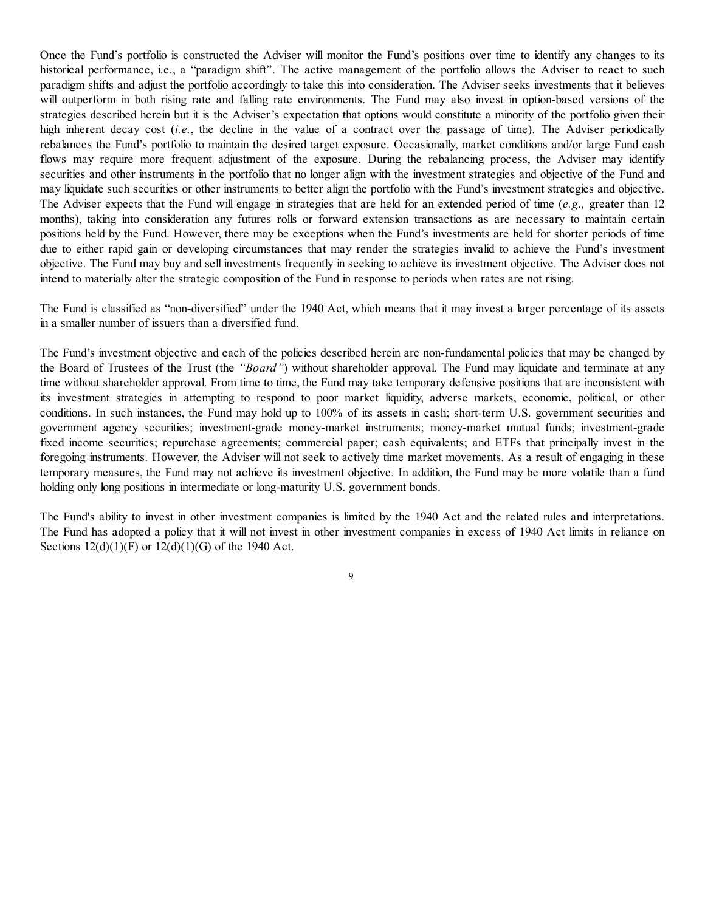Once the Fund's portfolio is constructed the Adviser will monitor the Fund's positions over time to identify any changes to its historical performance, i.e., a "paradigm shift". The active management of the portfolio allows the Adviser to react to such paradigm shifts and adjust the portfolio accordingly to take this into consideration. The Adviser seeks investments that it believes will outperform in both rising rate and falling rate environments. The Fund may also invest in option-based versions of the strategies described herein but it is the Adviser's expectation that options would constitute a minority of the portfolio given their high inherent decay cost *(i.e.*, the decline in the value of a contract over the passage of time). The Adviser periodically rebalances the Fund's portfolio to maintain the desired target exposure. Occasionally, market conditions and/or large Fund cash flows may require more frequent adjustment of the exposure. During the rebalancing process, the Adviser may identify securities and other instruments in the portfolio that no longer align with the investment strategies and objective of the Fund and may liquidate such securities or other instruments to better align the portfolio with the Fund's investment strategies and objective. The Adviser expects that the Fund will engage in strategies that are held for an extended period of time (*e.g.,* greater than 12 months), taking into consideration any futures rolls or forward extension transactions as are necessary to maintain certain positions held by the Fund. However, there may be exceptions when the Fund's investments are held for shorter periods of time due to either rapid gain or developing circumstances that may render the strategies invalid to achieve the Fund's investment objective. The Fund may buy and sell investments frequently in seeking to achieve its investment objective. The Adviser does not intend to materially alter the strategic composition of the Fund in response to periods when rates are not rising.

The Fund is classified as "non-diversified" under the 1940 Act, which means that it may invest a larger percentage of its assets in a smaller number of issuers than a diversified fund.

The Fund's investment objective and each of the policies described herein are non-fundamental policies that may be changed by the Board of Trustees of the Trust (the *"Board"*) without shareholder approval. The Fund may liquidate and terminate at any time without shareholder approval. From time to time, the Fund may take temporary defensive positions that are inconsistent with its investment strategies in attempting to respond to poor market liquidity, adverse markets, economic, political, or other conditions. In such instances, the Fund may hold up to 100% of its assets in cash; short-term U.S. government securities and government agency securities; investment-grade money-market instruments; money-market mutual funds; investment-grade fixed income securities; repurchase agreements; commercial paper; cash equivalents; and ETFs that principally invest in the foregoing instruments. However, the Adviser will not seek to actively time market movements. As a result of engaging in these temporary measures, the Fund may not achieve its investment objective. In addition, the Fund may be more volatile than a fund holding only long positions in intermediate or long-maturity U.S. government bonds.

The Fund's ability to invest in other investment companies is limited by the 1940 Act and the related rules and interpretations. The Fund has adopted a policy that it will not invest in other investment companies in excess of 1940 Act limits in reliance on Sections 12(d)(1)(F) or 12(d)(1)(G) of the 1940 Act.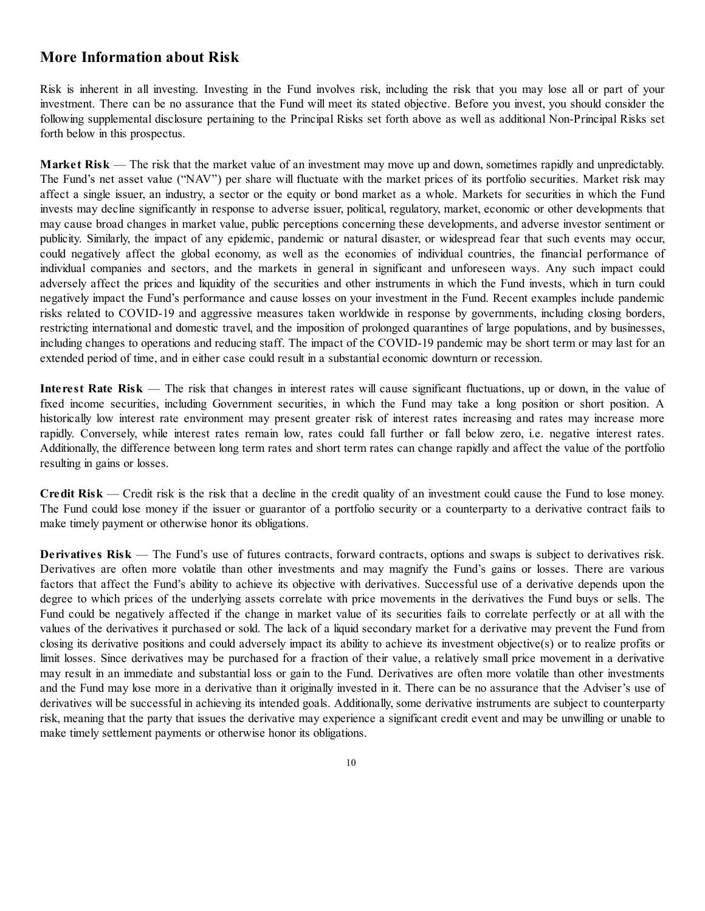## **More Information about Risk**

Risk is inherent in all investing. Investing in the Fund involves risk, including the risk that you may lose all or part of your investment. There can be no assurance that the Fund will meet its stated objective. Before you invest, you should consider the following supplemental disclosure pertaining to the Principal Risks set forth above as well as additional Non-Principal Risks set forth below in this prospectus.

**Market Risk** — The risk that the market value of an investment may move up and down, sometimes rapidly and unpredictably. The Fund's net asset value ("NAV") per share will fluctuate with the market prices of its portfolio securities. Market risk may affect a single issuer, an industry, a sector or the equity or bond market as a whole. Markets for securities in which the Fund invests may decline significantly in response to adverse issuer, political, regulatory, market, economic or other developments that may cause broad changes in market value, public perceptions concerning these developments, and adverse investor sentiment or publicity. Similarly, the impact of any epidemic, pandemic or natural disaster, or widespread fear that such events may occur, could negatively affect the global economy, as well as the economies of individual countries, the financial performance of individual companies and sectors, and the markets in general in significant and unforeseen ways. Any such impact could adversely affect the prices and liquidity of the securities and other instruments in which the Fund invests, which in turn could negatively impact the Fund's performance and cause losses on your investment in the Fund. Recent examples include pandemic risks related to COVID-19 and aggressive measures taken worldwide in response by governments, including closing borders, restricting international and domestic travel, and the imposition of prolonged quarantines of large populations, and by businesses, including changes to operations and reducing staff. The impact of the COVID-19 pandemic may be short term or may last for an extended period of time, and in either case could result in a substantial economic downturn or recession.

**Interest Rate Risk** — The risk that changes in interest rates will cause significant fluctuations, up or down, in the value of fixed income securities, including Government securities, in which the Fund may take a long position or short position. A historically low interest rate environment may present greater risk of interest rates increasing and rates may increase more rapidly. Conversely, while interest rates remain low, rates could fall further or fall below zero, i.e. negative interest rates. Additionally, the difference between long term rates and short term rates can change rapidly and affect the value of the portfolio resulting in gains or losses.

**Credit Risk** — Credit risk is the risk that a decline in the credit quality of an investment could cause the Fund to lose money. The Fund could lose money if the issuer or guarantor of a portfolio security or a counterparty to a derivative contract fails to make timely payment or otherwise honor its obligations.

**Derivatives Risk** — The Fund's use of futures contracts, forward contracts, options and swaps is subject to derivatives risk. Derivatives are often more volatile than other investments and may magnify the Fund's gains or losses. There are various factors that affect the Fund's ability to achieve its objective with derivatives. Successful use of a derivative depends upon the degree to which prices of the underlying assets correlate with price movements in the derivatives the Fund buys or sells. The Fund could be negatively affected if the change in market value of its securities fails to correlate perfectly or at all with the values of the derivatives it purchased or sold. The lack of a liquid secondary market for a derivative may prevent the Fund from closing its derivative positions and could adversely impact its ability to achieve its investment objective(s) or to realize profits or limit losses. Since derivatives may be purchased for a fraction of their value, a relatively small price movement in a derivative may result in an immediate and substantial loss or gain to the Fund. Derivatives are often more volatile than other investments and the Fund may lose more in a derivative than it originally invested in it. There can be no assurance that the Adviser's use of derivatives will be successful in achieving its intended goals. Additionally, some derivative instruments are subject to counterparty risk, meaning that the party that issues the derivative may experience a significant credit event and may be unwilling or unable to make timely settlement payments or otherwise honor its obligations.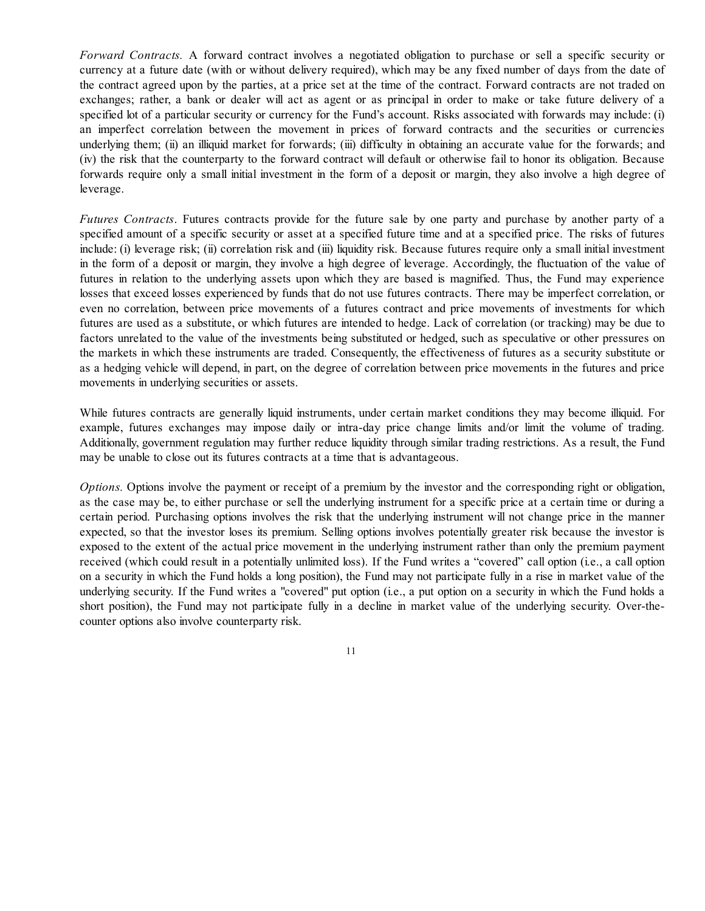*Forward Contracts.* A forward contract involves a negotiated obligation to purchase or sell a specific security or currency at a future date (with or without delivery required), which may be any fixed number of days from the date of the contract agreed upon by the parties, at a price set at the time of the contract. Forward contracts are not traded on exchanges; rather, a bank or dealer will act as agent or as principal in order to make or take future delivery of a specified lot of a particular security or currency for the Fund's account. Risks associated with forwards may include: (i) an imperfect correlation between the movement in prices of forward contracts and the securities or currencies underlying them; (ii) an illiquid market for forwards; (iii) difficulty in obtaining an accurate value for the forwards; and (iv) the risk that the counterparty to the forward contract will default or otherwise fail to honor its obligation. Because forwards require only a small initial investment in the form of a deposit or margin, they also involve a high degree of leverage.

*Futures Contracts*. Futures contracts provide for the future sale by one party and purchase by another party of a specified amount of a specific security or asset at a specified future time and at a specified price. The risks of futures include: (i) leverage risk; (ii) correlation risk and (iii) liquidity risk. Because futures require only a small initial investment in the form of a deposit or margin, they involve a high degree of leverage. Accordingly, the fluctuation of the value of futures in relation to the underlying assets upon which they are based is magnified. Thus, the Fund may experience losses that exceed losses experienced by funds that do not use futures contracts. There may be imperfect correlation, or even no correlation, between price movements of a futures contract and price movements of investments for which futures are used as a substitute, or which futures are intended to hedge. Lack of correlation (or tracking) may be due to factors unrelated to the value of the investments being substituted or hedged, such as speculative or other pressures on the markets in which these instruments are traded. Consequently, the effectiveness of futures as a security substitute or as a hedging vehicle will depend, in part, on the degree of correlation between price movements in the futures and price movements in underlying securities or assets.

While futures contracts are generally liquid instruments, under certain market conditions they may become illiquid. For example, futures exchanges may impose daily or intra-day price change limits and/or limit the volume of trading. Additionally, government regulation may further reduce liquidity through similar trading restrictions. As a result, the Fund may be unable to close out its futures contracts at a time that is advantageous.

*Options.* Options involve the payment or receipt of a premium by the investor and the corresponding right or obligation, as the case may be, to either purchase or sell the underlying instrument for a specific price at a certain time or during a certain period. Purchasing options involves the risk that the underlying instrument will not change price in the manner expected, so that the investor loses its premium. Selling options involves potentially greater risk because the investor is exposed to the extent of the actual price movement in the underlying instrument rather than only the premium payment received (which could result in a potentially unlimited loss). If the Fund writes a "covered" call option (i.e., a call option on a security in which the Fund holds a long position), the Fund may not participate fully in a rise in market value of the underlying security. If the Fund writes a "covered" put option (i.e., a put option on a security in which the Fund holds a short position), the Fund may not participate fully in a decline in market value of the underlying security. Over-thecounter options also involve counterparty risk.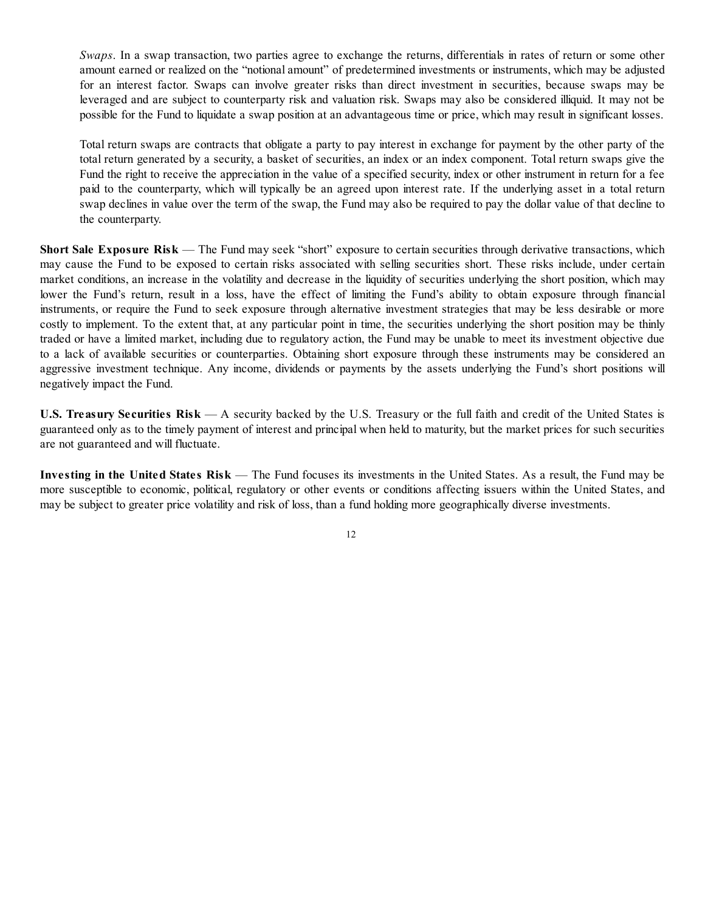*Swaps*. In a swap transaction, two parties agree to exchange the returns, differentials in rates of return or some other amount earned or realized on the "notional amount" of predetermined investments or instruments, which may be adjusted for an interest factor. Swaps can involve greater risks than direct investment in securities, because swaps may be leveraged and are subject to counterparty risk and valuation risk. Swaps may also be considered illiquid. It may not be possible for the Fund to liquidate a swap position at an advantageous time or price, which may result in significant losses.

Total return swaps are contracts that obligate a party to pay interest in exchange for payment by the other party of the total return generated by a security, a basket of securities, an index or an index component. Total return swaps give the Fund the right to receive the appreciation in the value of a specified security, index or other instrument in return for a fee paid to the counterparty, which will typically be an agreed upon interest rate. If the underlying asset in a total return swap declines in value over the term of the swap, the Fund may also be required to pay the dollar value of that decline to the counterparty.

**Short Sale Exposure Risk** — The Fund may seek "short" exposure to certain securities through derivative transactions, which may cause the Fund to be exposed to certain risks associated with selling securities short. These risks include, under certain market conditions, an increase in the volatility and decrease in the liquidity of securities underlying the short position, which may lower the Fund's return, result in a loss, have the effect of limiting the Fund's ability to obtain exposure through financial instruments, or require the Fund to seek exposure through alternative investment strategies that may be less desirable or more costly to implement. To the extent that, at any particular point in time, the securities underlying the short position may be thinly traded or have a limited market, including due to regulatory action, the Fund may be unable to meet its investment objective due to a lack of available securities or counterparties. Obtaining short exposure through these instruments may be considered an aggressive investment technique. Any income, dividends or payments by the assets underlying the Fund's short positions will negatively impact the Fund.

**U.S. Treasury Securities Risk** — A security backed by the U.S. Treasury or the full faith and credit of the United States is guaranteed only as to the timely payment of interest and principal when held to maturity, but the market prices for such securities are not guaranteed and will fluctuate.

**Investing in the United States Risk** — The Fund focuses its investments in the United States. As a result, the Fund may be more susceptible to economic, political, regulatory or other events or conditions affecting issuers within the United States, and may be subject to greater price volatility and risk of loss, than a fund holding more geographically diverse investments.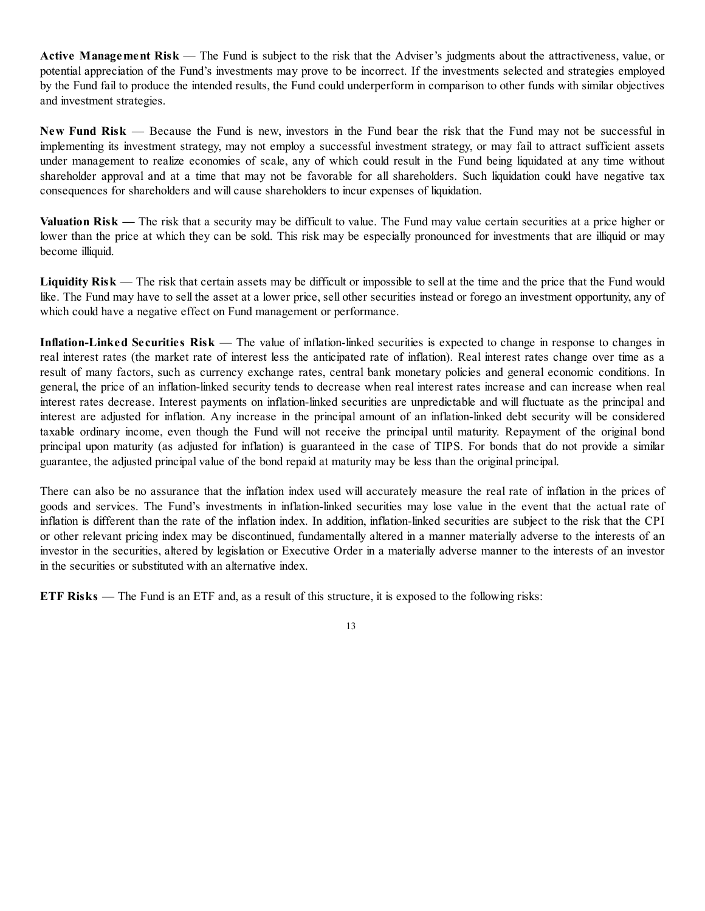**Active Management Risk** — The Fund is subject to the risk that the Adviser's judgments about the attractiveness, value, or potential appreciation of the Fund's investments may prove to be incorrect. If the investments selected and strategies employed by the Fund fail to produce the intended results, the Fund could underperform in comparison to other funds with similar objectives and investment strategies.

**New Fund Risk** — Because the Fund is new, investors in the Fund bear the risk that the Fund may not be successful in implementing its investment strategy, may not employ a successful investment strategy, or may fail to attract sufficient assets under management to realize economies of scale, any of which could result in the Fund being liquidated at any time without shareholder approval and at a time that may not be favorable for all shareholders. Such liquidation could have negative tax consequences for shareholders and will cause shareholders to incur expenses of liquidation.

**Valuation Risk** — The risk that a security may be difficult to value. The Fund may value certain securities at a price higher or lower than the price at which they can be sold. This risk may be especially pronounced for investments that are illiquid or may become illiquid.

Liquidity Risk — The risk that certain assets may be difficult or impossible to sell at the time and the price that the Fund would like. The Fund may have to sell the asset at a lower price, sell other securities instead or forego an investment opportunity, any of which could have a negative effect on Fund management or performance.

**Inflation-Linked Securities Risk** — The value of inflation-linked securities is expected to change in response to changes in real interest rates (the market rate of interest less the anticipated rate of inflation). Real interest rates change over time as a result of many factors, such as currency exchange rates, central bank monetary policies and general economic conditions. In general, the price of an inflation-linked security tends to decrease when real interest rates increase and can increase when real interest rates decrease. Interest payments on inflation-linked securities are unpredictable and will fluctuate as the principal and interest are adjusted for inflation. Any increase in the principal amount of an inflation-linked debt security will be considered taxable ordinary income, even though the Fund will not receive the principal until maturity. Repayment of the original bond principal upon maturity (as adjusted for inflation) is guaranteed in the case of TIPS. For bonds that do not provide a similar guarantee, the adjusted principal value of the bond repaid at maturity may be less than the original principal.

There can also be no assurance that the inflation index used will accurately measure the real rate of inflation in the prices of goods and services. The Fund's investments in inflation-linked securities may lose value in the event that the actual rate of inflation is different than the rate of the inflation index. In addition, inflation-linked securities are subject to the risk that the CPI or other relevant pricing index may be discontinued, fundamentally altered in a manner materially adverse to the interests of an investor in the securities, altered by legislation or Executive Order in a materially adverse manner to the interests of an investor in the securities or substituted with an alternative index.

**ETF Risks** — The Fund is an ETF and, as a result of this structure, it is exposed to the following risks: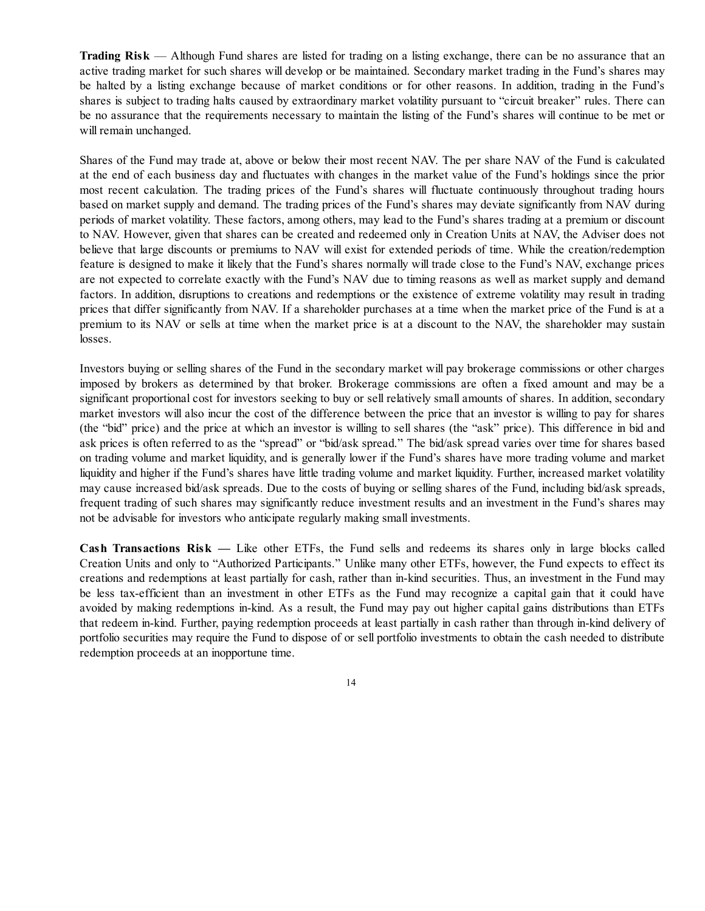**Trading Risk** — Although Fund shares are listed for trading on a listing exchange, there can be no assurance that an active trading market for such shares will develop or be maintained. Secondary market trading in the Fund's shares may be halted by a listing exchange because of market conditions or for other reasons. In addition, trading in the Fund's shares is subject to trading halts caused by extraordinary market volatility pursuant to "circuit breaker" rules. There can be no assurance that the requirements necessary to maintain the listing of the Fund's shares will continue to be met or will remain unchanged.

Shares of the Fund may trade at, above or below their most recent NAV. The per share NAV of the Fund is calculated at the end of each business day and fluctuates with changes in the market value of the Fund's holdings since the prior most recent calculation. The trading prices of the Fund's shares will fluctuate continuously throughout trading hours based on market supply and demand. The trading prices of the Fund's shares may deviate significantly from NAV during periods of market volatility. These factors, among others, may lead to the Fund's shares trading at a premium or discount to NAV. However, given that shares can be created and redeemed only in Creation Units at NAV, the Adviser does not believe that large discounts or premiums to NAV will exist for extended periods of time. While the creation/redemption feature is designed to make it likely that the Fund's shares normally will trade close to the Fund's NAV, exchange prices are not expected to correlate exactly with the Fund's NAV due to timing reasons as well as market supply and demand factors. In addition, disruptions to creations and redemptions or the existence of extreme volatility may result in trading prices that differ significantly from NAV. If a shareholder purchases at a time when the market price of the Fund is at a premium to its NAV or sells at time when the market price is at a discount to the NAV, the shareholder may sustain losses.

Investors buying or selling shares of the Fund in the secondary market will pay brokerage commissions or other charges imposed by brokers as determined by that broker. Brokerage commissions are often a fixed amount and may be a significant proportional cost for investors seeking to buy or sell relatively small amounts of shares. In addition, secondary market investors will also incur the cost of the difference between the price that an investor is willing to pay for shares (the "bid" price) and the price at which an investor is willing to sell shares (the "ask" price). This difference in bid and ask prices is often referred to as the "spread" or "bid/ask spread." The bid/ask spread varies over time for shares based on trading volume and market liquidity, and is generally lower if the Fund's shares have more trading volume and market liquidity and higher if the Fund's shares have little trading volume and market liquidity. Further, increased market volatility may cause increased bid/ask spreads. Due to the costs of buying or selling shares of the Fund, including bid/ask spreads, frequent trading of such shares may significantly reduce investment results and an investment in the Fund's shares may not be advisable for investors who anticipate regularly making small investments.

**Cash Transactions Risk —** Like other ETFs, the Fund sells and redeems its shares only in large blocks called Creation Units and only to "Authorized Participants." Unlike many other ETFs, however, the Fund expects to effect its creations and redemptions at least partially for cash, rather than in-kind securities. Thus, an investment in the Fund may be less tax-efficient than an investment in other ETFs as the Fund may recognize a capital gain that it could have avoided by making redemptions in-kind. As a result, the Fund may pay out higher capital gains distributions than ETFs that redeem in-kind. Further, paying redemption proceeds at least partially in cash rather than through in-kind delivery of portfolio securities may require the Fund to dispose of or sell portfolio investments to obtain the cash needed to distribute redemption proceeds at an inopportune time.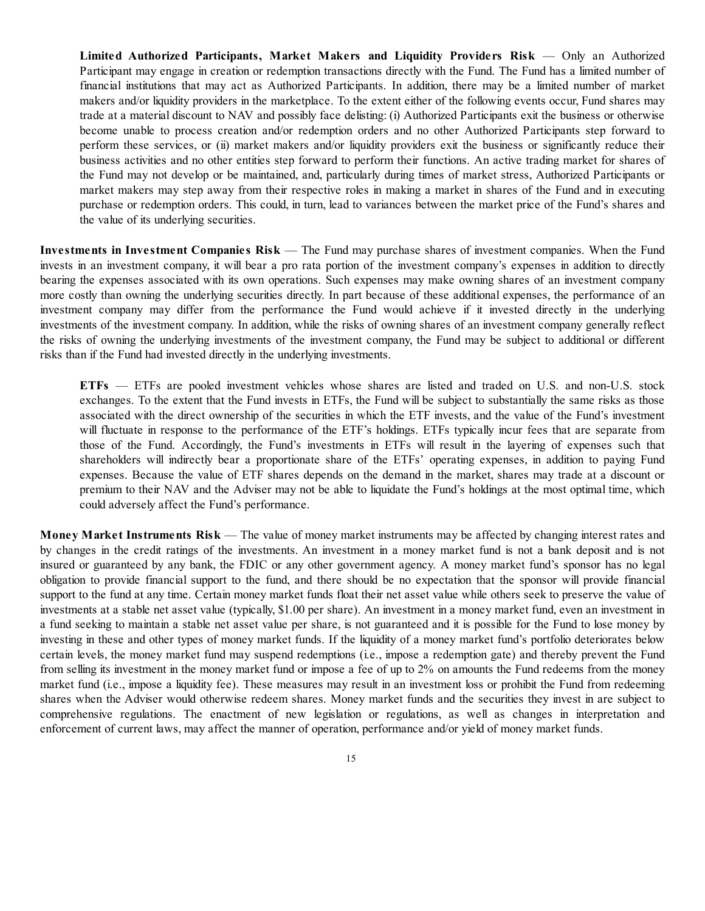**Limited Authorized Participants, Market Makers and Liquidity Providers Risk** — Only an Authorized Participant may engage in creation or redemption transactions directly with the Fund. The Fund has a limited number of financial institutions that may act as Authorized Participants. In addition, there may be a limited number of market makers and/or liquidity providers in the marketplace. To the extent either of the following events occur, Fund shares may trade at a material discount to NAV and possibly face delisting: (i) Authorized Participants exit the business or otherwise become unable to process creation and/or redemption orders and no other Authorized Participants step forward to perform these services, or (ii) market makers and/or liquidity providers exit the business or significantly reduce their business activities and no other entities step forward to perform their functions. An active trading market for shares of the Fund may not develop or be maintained, and, particularly during times of market stress, Authorized Participants or market makers may step away from their respective roles in making a market in shares of the Fund and in executing purchase or redemption orders. This could, in turn, lead to variances between the market price of the Fund's shares and the value of its underlying securities.

**Investments in Investment Companies Risk** — The Fund may purchase shares of investment companies. When the Fund invests in an investment company, it will bear a pro rata portion of the investment company's expenses in addition to directly bearing the expenses associated with its own operations. Such expenses may make owning shares of an investment company more costly than owning the underlying securities directly. In part because of these additional expenses, the performance of an investment company may differ from the performance the Fund would achieve if it invested directly in the underlying investments of the investment company. In addition, while the risks of owning shares of an investment company generally reflect the risks of owning the underlying investments of the investment company, the Fund may be subject to additional or different risks than if the Fund had invested directly in the underlying investments.

**ETFs** — ETFs are pooled investment vehicles whose shares are listed and traded on U.S. and non-U.S. stock exchanges. To the extent that the Fund invests in ETFs, the Fund will be subject to substantially the same risks as those associated with the direct ownership of the securities in which the ETF invests, and the value of the Fund's investment will fluctuate in response to the performance of the ETF's holdings. ETFs typically incur fees that are separate from those of the Fund. Accordingly, the Fund's investments in ETFs will result in the layering of expenses such that shareholders will indirectly bear a proportionate share of the ETFs' operating expenses, in addition to paying Fund expenses. Because the value of ETF shares depends on the demand in the market, shares may trade at a discount or premium to their NAV and the Adviser may not be able to liquidate the Fund's holdings at the most optimal time, which could adversely affect the Fund's performance.

**Money Market Instruments Risk** — The value of money market instruments may be affected by changing interest rates and by changes in the credit ratings of the investments. An investment in a money market fund is not a bank deposit and is not insured or guaranteed by any bank, the FDIC or any other government agency. A money market fund's sponsor has no legal obligation to provide financial support to the fund, and there should be no expectation that the sponsor will provide financial support to the fund at any time. Certain money market funds float their net asset value while others seek to preserve the value of investments at a stable net asset value (typically, \$1.00 per share). An investment in a money market fund, even an investment in a fund seeking to maintain a stable net asset value per share, is not guaranteed and it is possible for the Fund to lose money by investing in these and other types of money market funds. If the liquidity of a money market fund's portfolio deteriorates below certain levels, the money market fund may suspend redemptions (i.e., impose a redemption gate) and thereby prevent the Fund from selling its investment in the money market fund or impose a fee of up to 2% on amounts the Fund redeems from the money market fund (i.e., impose a liquidity fee). These measures may result in an investment loss or prohibit the Fund from redeeming shares when the Adviser would otherwise redeem shares. Money market funds and the securities they invest in are subject to comprehensive regulations. The enactment of new legislation or regulations, as well as changes in interpretation and enforcement of current laws, may affect the manner of operation, performance and/or yield of money market funds.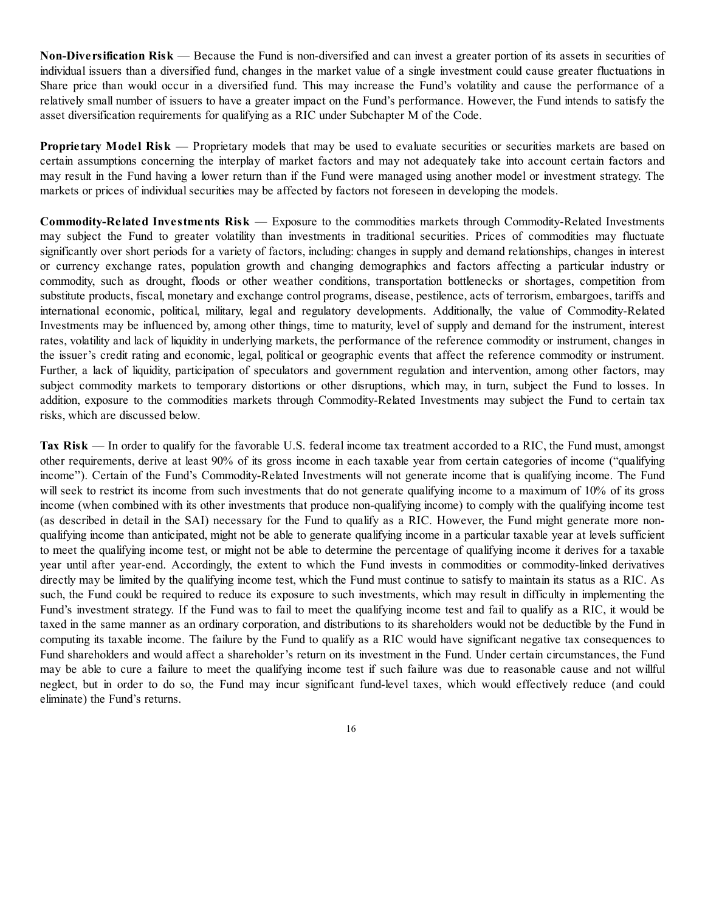**Non-Diversification Risk** — Because the Fund is non-diversified and can invest a greater portion of its assets in securities of individual issuers than a diversified fund, changes in the market value of a single investment could cause greater fluctuations in Share price than would occur in a diversified fund. This may increase the Fund's volatility and cause the performance of a relatively small number of issuers to have a greater impact on the Fund's performance. However, the Fund intends to satisfy the asset diversification requirements for qualifying as a RIC under Subchapter M of the Code.

**Proprietary Model Risk** — Proprietary models that may be used to evaluate securities or securities markets are based on certain assumptions concerning the interplay of market factors and may not adequately take into account certain factors and may result in the Fund having a lower return than if the Fund were managed using another model or investment strategy. The markets or prices of individual securities may be affected by factors not foreseen in developing the models.

**Commodity-Related Investments Risk** — Exposure to the commodities markets through Commodity-Related Investments may subject the Fund to greater volatility than investments in traditional securities. Prices of commodities may fluctuate significantly over short periods for a variety of factors, including: changes in supply and demand relationships, changes in interest or currency exchange rates, population growth and changing demographics and factors affecting a particular industry or commodity, such as drought, floods or other weather conditions, transportation bottlenecks or shortages, competition from substitute products, fiscal, monetary and exchange control programs, disease, pestilence, acts of terrorism, embargoes, tariffs and international economic, political, military, legal and regulatory developments. Additionally, the value of Commodity-Related Investments may be influenced by, among other things, time to maturity, level of supply and demand for the instrument, interest rates, volatility and lack of liquidity in underlying markets, the performance of the reference commodity or instrument, changes in the issuer's credit rating and economic, legal, political or geographic events that affect the reference commodity or instrument. Further, a lack of liquidity, participation of speculators and government regulation and intervention, among other factors, may subject commodity markets to temporary distortions or other disruptions, which may, in turn, subject the Fund to losses. In addition, exposure to the commodities markets through Commodity-Related Investments may subject the Fund to certain tax risks, which are discussed below.

**Tax Risk** — In order to qualify for the favorable U.S. federal income tax treatment accorded to a RIC, the Fund must, amongst other requirements, derive at least 90% of its gross income in each taxable year from certain categories of income ("qualifying income"). Certain of the Fund's Commodity-Related Investments will not generate income that is qualifying income. The Fund will seek to restrict its income from such investments that do not generate qualifying income to a maximum of 10% of its gross income (when combined with its other investments that produce non-qualifying income) to comply with the qualifying income test (as described in detail in the SAI) necessary for the Fund to qualify as a RIC. However, the Fund might generate more nonqualifying income than anticipated, might not be able to generate qualifying income in a particular taxable year at levels sufficient to meet the qualifying income test, or might not be able to determine the percentage of qualifying income it derives for a taxable year until after year-end. Accordingly, the extent to which the Fund invests in commodities or commodity-linked derivatives directly may be limited by the qualifying income test, which the Fund must continue to satisfy to maintain its status as a RIC. As such, the Fund could be required to reduce its exposure to such investments, which may result in difficulty in implementing the Fund's investment strategy. If the Fund was to fail to meet the qualifying income test and fail to qualify as a RIC, it would be taxed in the same manner as an ordinary corporation, and distributions to its shareholders would not be deductible by the Fund in computing its taxable income. The failure by the Fund to qualify as a RIC would have significant negative tax consequences to Fund shareholders and would affect a shareholder's return on its investment in the Fund. Under certain circumstances, the Fund may be able to cure a failure to meet the qualifying income test if such failure was due to reasonable cause and not willful neglect, but in order to do so, the Fund may incur significant fund-level taxes, which would effectively reduce (and could eliminate) the Fund's returns.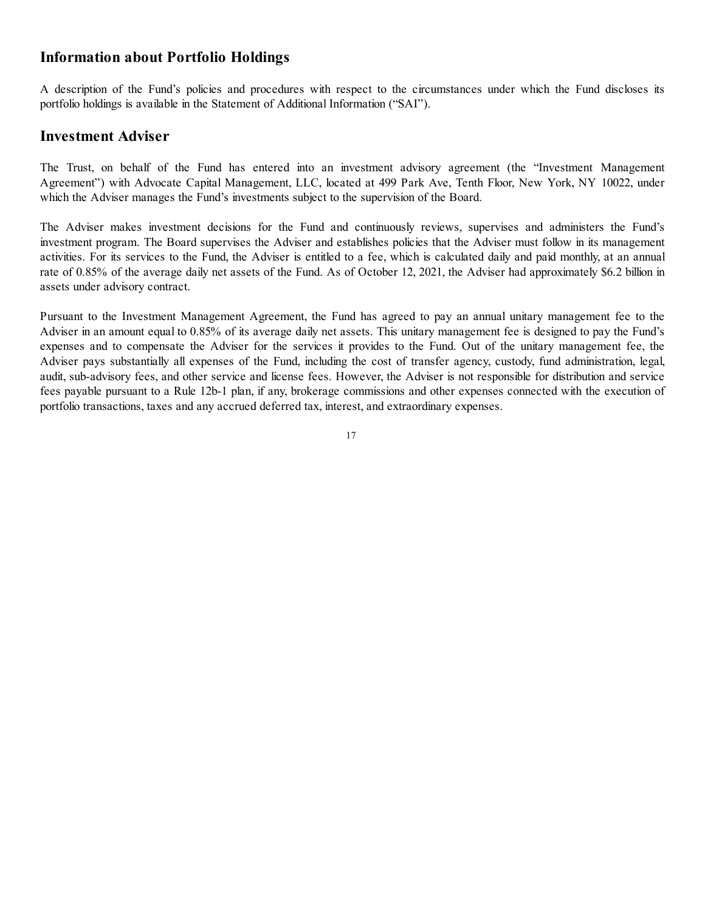## **Information about Portfolio Holdings**

A description of the Fund's policies and procedures with respect to the circumstances under which the Fund discloses its portfolio holdings is available in the Statement of Additional Information ("SAI").

## **Investment Adviser**

The Trust, on behalf of the Fund has entered into an investment advisory agreement (the "Investment Management Agreement") with Advocate Capital Management, LLC, located at 499 Park Ave, Tenth Floor, New York, NY 10022, under which the Adviser manages the Fund's investments subject to the supervision of the Board.

The Adviser makes investment decisions for the Fund and continuously reviews, supervises and administers the Fund's investment program. The Board supervises the Adviser and establishes policies that the Adviser must follow in its management activities. For its services to the Fund, the Adviser is entitled to a fee, which is calculated daily and paid monthly, at an annual rate of 0.85% of the average daily net assets of the Fund. As of October 12, 2021, the Adviser had approximately \$6.2 billion in assets under advisory contract.

Pursuant to the Investment Management Agreement, the Fund has agreed to pay an annual unitary management fee to the Adviser in an amount equal to 0.85% of its average daily net assets. This unitary management fee is designed to pay the Fund's expenses and to compensate the Adviser for the services it provides to the Fund. Out of the unitary management fee, the Adviser pays substantially all expenses of the Fund, including the cost of transfer agency, custody, fund administration, legal, audit, sub-advisory fees, and other service and license fees. However, the Adviser is not responsible for distribution and service fees payable pursuant to a Rule 12b-1 plan, if any, brokerage commissions and other expenses connected with the execution of portfolio transactions, taxes and any accrued deferred tax, interest, and extraordinary expenses.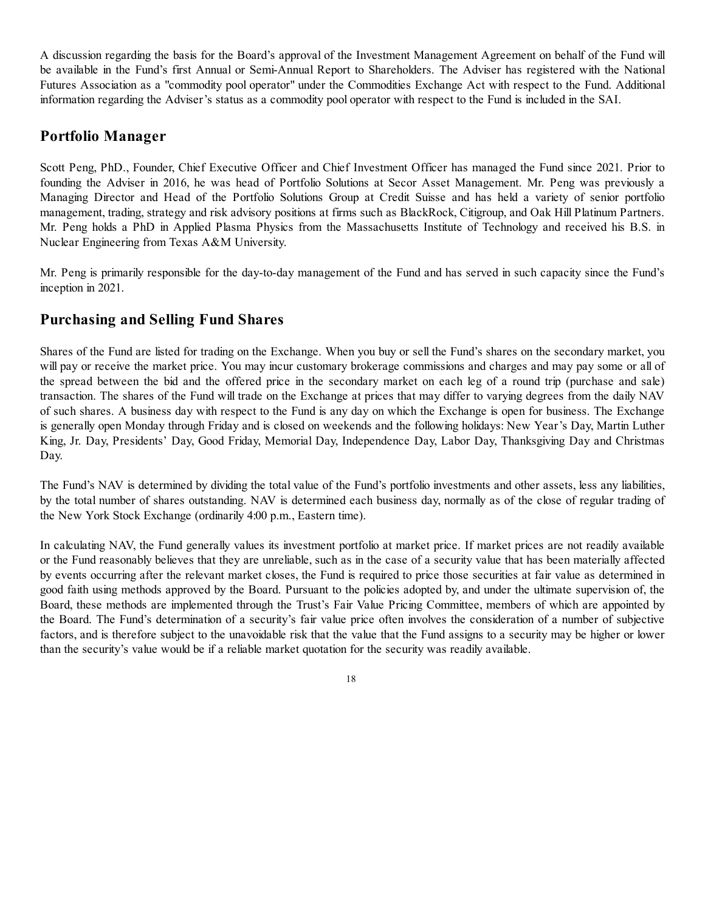A discussion regarding the basis for the Board's approval of the Investment Management Agreement on behalf of the Fund will be available in the Fund's first Annual or Semi-Annual Report to Shareholders. The Adviser has registered with the National Futures Association as a "commodity pool operator" under the Commodities Exchange Act with respect to the Fund. Additional information regarding the Adviser's status as a commodity pool operator with respect to the Fund is included in the SAI.

## **Portfolio Manager**

Scott Peng, PhD., Founder, Chief Executive Officer and Chief Investment Officer has managed the Fund since 2021. Prior to founding the Adviser in 2016, he was head of Portfolio Solutions at Secor Asset Management. Mr. Peng was previously a Managing Director and Head of the Portfolio Solutions Group at Credit Suisse and has held a variety of senior portfolio management, trading, strategy and risk advisory positions at firms such as BlackRock, Citigroup, and Oak Hill Platinum Partners. Mr. Peng holds a PhD in Applied Plasma Physics from the Massachusetts Institute of Technology and received his B.S. in Nuclear Engineering from Texas A&M University.

Mr. Peng is primarily responsible for the day-to-day management of the Fund and has served in such capacity since the Fund's inception in 2021.

## **Purchasing and Selling Fund Shares**

Shares of the Fund are listed for trading on the Exchange. When you buy or sell the Fund's shares on the secondary market, you will pay or receive the market price. You may incur customary brokerage commissions and charges and may pay some or all of the spread between the bid and the offered price in the secondary market on each leg of a round trip (purchase and sale) transaction. The shares of the Fund will trade on the Exchange at prices that may differ to varying degrees from the daily NAV of such shares. A business day with respect to the Fund is any day on which the Exchange is open for business. The Exchange is generally open Monday through Friday and is closed on weekends and the following holidays: New Year's Day, Martin Luther King, Jr. Day, Presidents' Day, Good Friday, Memorial Day, Independence Day, Labor Day, Thanksgiving Day and Christmas Day.

The Fund's NAV is determined by dividing the total value of the Fund's portfolio investments and other assets, less any liabilities, by the total number of shares outstanding. NAV is determined each business day, normally as of the close of regular trading of the New York Stock Exchange (ordinarily 4:00 p.m., Eastern time).

In calculating NAV, the Fund generally values its investment portfolio at market price. If market prices are not readily available or the Fund reasonably believes that they are unreliable, such as in the case of a security value that has been materially affected by events occurring after the relevant market closes, the Fund is required to price those securities at fair value as determined in good faith using methods approved by the Board. Pursuant to the policies adopted by, and under the ultimate supervision of, the Board, these methods are implemented through the Trust's Fair Value Pricing Committee, members of which are appointed by the Board. The Fund's determination of a security's fair value price often involves the consideration of a number of subjective factors, and is therefore subject to the unavoidable risk that the value that the Fund assigns to a security may be higher or lower than the security's value would be if a reliable market quotation for the security was readily available.

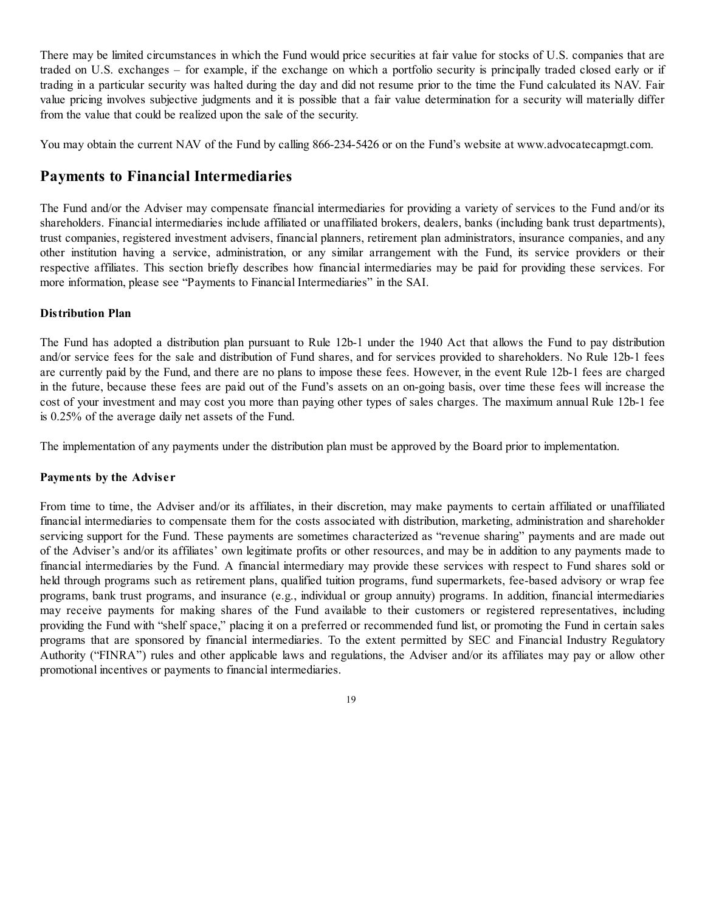There may be limited circumstances in which the Fund would price securities at fair value for stocks of U.S. companies that are traded on U.S. exchanges – for example, if the exchange on which a portfolio security is principally traded closed early or if trading in a particular security was halted during the day and did not resume prior to the time the Fund calculated its NAV. Fair value pricing involves subjective judgments and it is possible that a fair value determination for a security will materially differ from the value that could be realized upon the sale of the security.

You may obtain the current NAV of the Fund by calling 866-234-5426 or on the Fund's website at www.advocatecapmgt.com.

## **Payments to Financial Intermediaries**

The Fund and/or the Adviser may compensate financial intermediaries for providing a variety of services to the Fund and/or its shareholders. Financial intermediaries include affiliated or unaffiliated brokers, dealers, banks (including bank trust departments), trust companies, registered investment advisers, financial planners, retirement plan administrators, insurance companies, and any other institution having a service, administration, or any similar arrangement with the Fund, its service providers or their respective affiliates. This section briefly describes how financial intermediaries may be paid for providing these services. For more information, please see "Payments to Financial Intermediaries" in the SAI.

#### **Distribution Plan**

The Fund has adopted a distribution plan pursuant to Rule 12b-1 under the 1940 Act that allows the Fund to pay distribution and/or service fees for the sale and distribution of Fund shares, and for services provided to shareholders. No Rule 12b-1 fees are currently paid by the Fund, and there are no plans to impose these fees. However, in the event Rule 12b-1 fees are charged in the future, because these fees are paid out of the Fund's assets on an on-going basis, over time these fees will increase the cost of your investment and may cost you more than paying other types of sales charges. The maximum annual Rule 12b-1 fee is 0.25% of the average daily net assets of the Fund.

The implementation of any payments under the distribution plan must be approved by the Board prior to implementation.

#### **Payments by the Adviser**

From time to time, the Adviser and/or its affiliates, in their discretion, may make payments to certain affiliated or unaffiliated financial intermediaries to compensate them for the costs associated with distribution, marketing, administration and shareholder servicing support for the Fund. These payments are sometimes characterized as "revenue sharing" payments and are made out of the Adviser's and/or its affiliates' own legitimate profits or other resources, and may be in addition to any payments made to financial intermediaries by the Fund. A financial intermediary may provide these services with respect to Fund shares sold or held through programs such as retirement plans, qualified tuition programs, fund supermarkets, fee-based advisory or wrap fee programs, bank trust programs, and insurance (e.g., individual or group annuity) programs. In addition, financial intermediaries may receive payments for making shares of the Fund available to their customers or registered representatives, including providing the Fund with "shelf space," placing it on a preferred or recommended fund list, or promoting the Fund in certain sales programs that are sponsored by financial intermediaries. To the extent permitted by SEC and Financial Industry Regulatory Authority ("FINRA") rules and other applicable laws and regulations, the Adviser and/or its affiliates may pay or allow other promotional incentives or payments to financial intermediaries.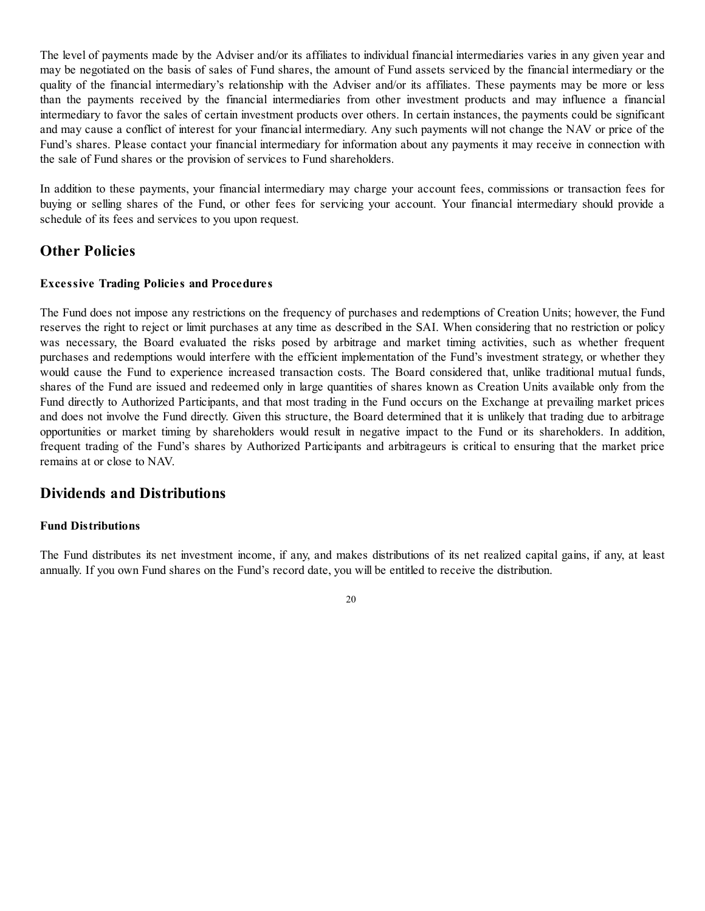The level of payments made by the Adviser and/or its affiliates to individual financial intermediaries varies in any given year and may be negotiated on the basis of sales of Fund shares, the amount of Fund assets serviced by the financial intermediary or the quality of the financial intermediary's relationship with the Adviser and/or its affiliates. These payments may be more or less than the payments received by the financial intermediaries from other investment products and may influence a financial intermediary to favor the sales of certain investment products over others. In certain instances, the payments could be significant and may cause a conflict of interest for your financial intermediary. Any such payments will not change the NAV or price of the Fund's shares. Please contact your financial intermediary for information about any payments it may receive in connection with the sale of Fund shares or the provision of services to Fund shareholders.

In addition to these payments, your financial intermediary may charge your account fees, commissions or transaction fees for buying or selling shares of the Fund, or other fees for servicing your account. Your financial intermediary should provide a schedule of its fees and services to you upon request.

## **Other Policies**

#### **Excessive Trading Policies and Procedures**

The Fund does not impose any restrictions on the frequency of purchases and redemptions of Creation Units; however, the Fund reserves the right to reject or limit purchases at any time as described in the SAI. When considering that no restriction or policy was necessary, the Board evaluated the risks posed by arbitrage and market timing activities, such as whether frequent purchases and redemptions would interfere with the efficient implementation of the Fund's investment strategy, or whether they would cause the Fund to experience increased transaction costs. The Board considered that, unlike traditional mutual funds, shares of the Fund are issued and redeemed only in large quantities of shares known as Creation Units available only from the Fund directly to Authorized Participants, and that most trading in the Fund occurs on the Exchange at prevailing market prices and does not involve the Fund directly. Given this structure, the Board determined that it is unlikely that trading due to arbitrage opportunities or market timing by shareholders would result in negative impact to the Fund or its shareholders. In addition, frequent trading of the Fund's shares by Authorized Participants and arbitrageurs is critical to ensuring that the market price remains at or close to NAV.

#### **Dividends and Distributions**

#### **Fund Distributions**

The Fund distributes its net investment income, if any, and makes distributions of its net realized capital gains, if any, at least annually. If you own Fund shares on the Fund's record date, you will be entitled to receive the distribution.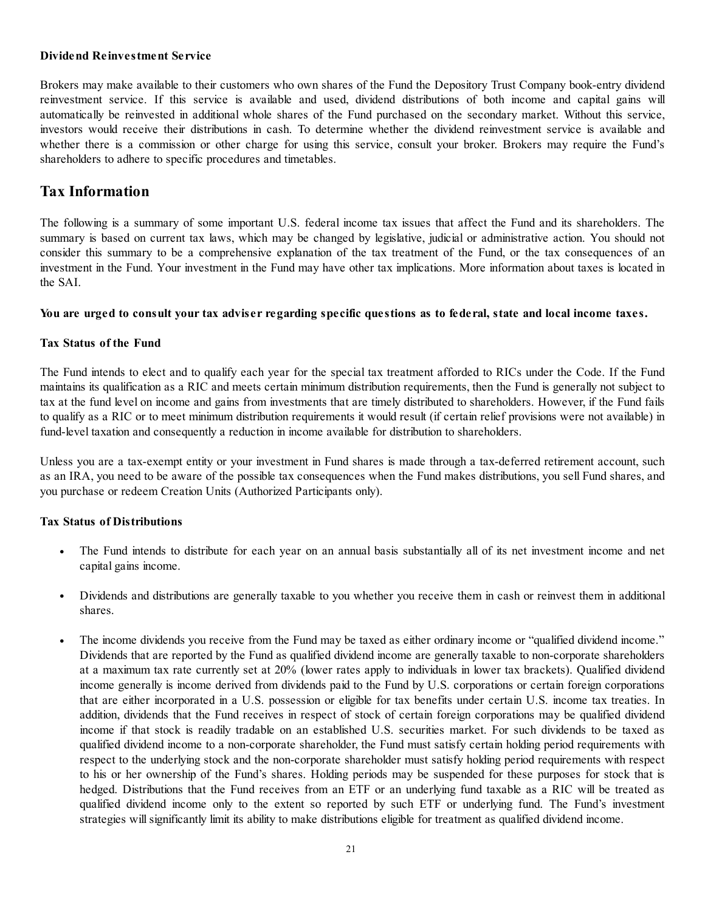#### **Dividend Reinvestment Service**

Brokers may make available to their customers who own shares of the Fund the Depository Trust Company book-entry dividend reinvestment service. If this service is available and used, dividend distributions of both income and capital gains will automatically be reinvested in additional whole shares of the Fund purchased on the secondary market. Without this service, investors would receive their distributions in cash. To determine whether the dividend reinvestment service is available and whether there is a commission or other charge for using this service, consult your broker. Brokers may require the Fund's shareholders to adhere to specific procedures and timetables.

## **Tax Information**

The following is a summary of some important U.S. federal income tax issues that affect the Fund and its shareholders. The summary is based on current tax laws, which may be changed by legislative, judicial or administrative action. You should not consider this summary to be a comprehensive explanation of the tax treatment of the Fund, or the tax consequences of an investment in the Fund. Your investment in the Fund may have other tax implications. More information about taxes is located in the SAI.

#### You are urged to consult your tax adviser regarding specific questions as to federal, state and local income taxes.

#### **Tax Status of the Fund**

The Fund intends to elect and to qualify each year for the special tax treatment afforded to RICs under the Code. If the Fund maintains its qualification as a RIC and meets certain minimum distribution requirements, then the Fund is generally not subject to tax at the fund level on income and gains from investments that are timely distributed to shareholders. However, if the Fund fails to qualify as a RIC or to meet minimum distribution requirements it would result (if certain relief provisions were not available) in fund-level taxation and consequently a reduction in income available for distribution to shareholders.

Unless you are a tax-exempt entity or your investment in Fund shares is made through a tax-deferred retirement account, such as an IRA, you need to be aware of the possible tax consequences when the Fund makes distributions, you sell Fund shares, and you purchase or redeem Creation Units (Authorized Participants only).

#### **Tax Status of Distributions**

- **•** The Fund intends to distribute for each year on an annual basis substantially all of its net investment income and net capital gains income.
- **•** Dividends and distributions are generally taxable to you whether you receive them in cash or reinvest them in additional shares.
- The income dividends you receive from the Fund may be taxed as either ordinary income or "qualified dividend income." Dividends that are reported by the Fund as qualified dividend income are generally taxable to non-corporate shareholders at a maximum tax rate currently set at 20% (lower rates apply to individuals in lower tax brackets). Qualified dividend income generally is income derived from dividends paid to the Fund by U.S. corporations or certain foreign corporations that are either incorporated in a U.S. possession or eligible for tax benefits under certain U.S. income tax treaties. In addition, dividends that the Fund receives in respect of stock of certain foreign corporations may be qualified dividend income if that stock is readily tradable on an established U.S. securities market. For such dividends to be taxed as qualified dividend income to a non-corporate shareholder, the Fund must satisfy certain holding period requirements with respect to the underlying stock and the non-corporate shareholder must satisfy holding period requirements with respect to his or her ownership of the Fund's shares. Holding periods may be suspended for these purposes for stock that is hedged. Distributions that the Fund receives from an ETF or an underlying fund taxable as a RIC will be treated as qualified dividend income only to the extent so reported by such ETF or underlying fund. The Fund's investment strategies will significantly limit its ability to make distributions eligible for treatment as qualified dividend income.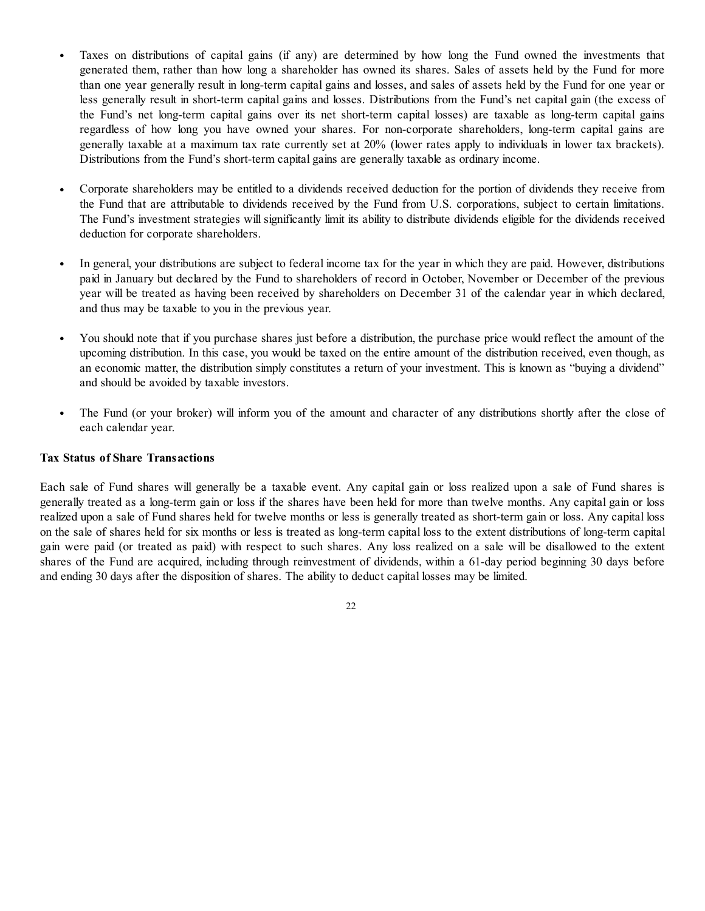- **•** Taxes on distributions of capital gains (if any) are determined by how long the Fund owned the investments that generated them, rather than how long a shareholder has owned its shares. Sales of assets held by the Fund for more than one year generally result in long-term capital gains and losses, and sales of assets held by the Fund for one year or less generally result in short-term capital gains and losses. Distributions from the Fund's net capital gain (the excess of the Fund's net long-term capital gains over its net short-term capital losses) are taxable as long-term capital gains regardless of how long you have owned your shares. For non-corporate shareholders, long-term capital gains are generally taxable at a maximum tax rate currently set at 20% (lower rates apply to individuals in lower tax brackets). Distributions from the Fund's short-term capital gains are generally taxable as ordinary income.
- **•** Corporate shareholders may be entitled to a dividends received deduction for the portion of dividends they receive from the Fund that are attributable to dividends received by the Fund from U.S. corporations, subject to certain limitations. The Fund's investment strategies will significantly limit its ability to distribute dividends eligible for the dividends received deduction for corporate shareholders.
- **•** In general, your distributions are subject to federal income tax for the year in which they are paid. However, distributions paid in January but declared by the Fund to shareholders of record in October, November or December of the previous year will be treated as having been received by shareholders on December 31 of the calendar year in which declared, and thus may be taxable to you in the previous year.
- **•** You should note that if you purchase shares just before a distribution, the purchase price would reflect the amount of the upcoming distribution. In this case, you would be taxed on the entire amount of the distribution received, even though, as an economic matter, the distribution simply constitutes a return of your investment. This is known as "buying a dividend" and should be avoided by taxable investors.
- The Fund (or your broker) will inform you of the amount and character of any distributions shortly after the close of each calendar year.

#### **Tax Status of Share Transactions**

Each sale of Fund shares will generally be a taxable event. Any capital gain or loss realized upon a sale of Fund shares is generally treated as a long-term gain or loss if the shares have been held for more than twelve months. Any capital gain or loss realized upon a sale of Fund shares held for twelve months or less is generally treated as short-term gain or loss. Any capital loss on the sale of shares held for six months or less is treated as long-term capital loss to the extent distributions of long-term capital gain were paid (or treated as paid) with respect to such shares. Any loss realized on a sale will be disallowed to the extent shares of the Fund are acquired, including through reinvestment of dividends, within a 61-day period beginning 30 days before and ending 30 days after the disposition of shares. The ability to deduct capital losses may be limited.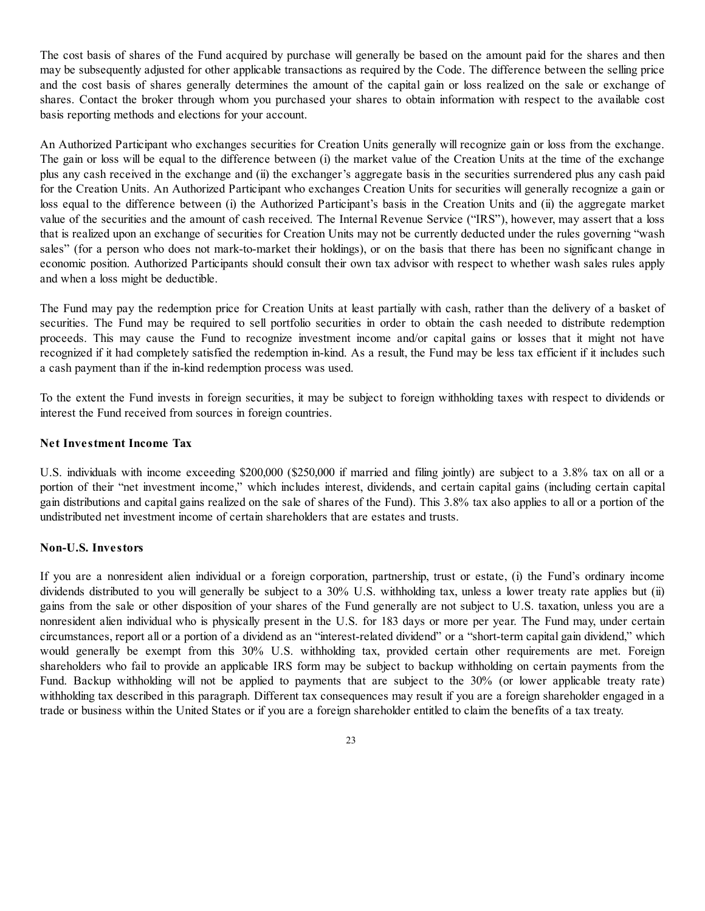The cost basis of shares of the Fund acquired by purchase will generally be based on the amount paid for the shares and then may be subsequently adjusted for other applicable transactions as required by the Code. The difference between the selling price and the cost basis of shares generally determines the amount of the capital gain or loss realized on the sale or exchange of shares. Contact the broker through whom you purchased your shares to obtain information with respect to the available cost basis reporting methods and elections for your account.

An Authorized Participant who exchanges securities for Creation Units generally will recognize gain or loss from the exchange. The gain or loss will be equal to the difference between (i) the market value of the Creation Units at the time of the exchange plus any cash received in the exchange and (ii) the exchanger's aggregate basis in the securities surrendered plus any cash paid for the Creation Units. An Authorized Participant who exchanges Creation Units for securities will generally recognize a gain or loss equal to the difference between (i) the Authorized Participant's basis in the Creation Units and (ii) the aggregate market value of the securities and the amount of cash received. The Internal Revenue Service ("IRS"), however, may assert that a loss that is realized upon an exchange of securities for Creation Units may not be currently deducted under the rules governing "wash sales" (for a person who does not mark-to-market their holdings), or on the basis that there has been no significant change in economic position. Authorized Participants should consult their own tax advisor with respect to whether wash sales rules apply and when a loss might be deductible.

The Fund may pay the redemption price for Creation Units at least partially with cash, rather than the delivery of a basket of securities. The Fund may be required to sell portfolio securities in order to obtain the cash needed to distribute redemption proceeds. This may cause the Fund to recognize investment income and/or capital gains or losses that it might not have recognized if it had completely satisfied the redemption in-kind. As a result, the Fund may be less tax efficient if it includes such a cash payment than if the in-kind redemption process was used.

To the extent the Fund invests in foreign securities, it may be subject to foreign withholding taxes with respect to dividends or interest the Fund received from sources in foreign countries.

#### **Net Investment Income Tax**

U.S. individuals with income exceeding \$200,000 (\$250,000 if married and filing jointly) are subject to a 3.8% tax on all or a portion of their "net investment income," which includes interest, dividends, and certain capital gains (including certain capital gain distributions and capital gains realized on the sale of shares of the Fund). This 3.8% tax also applies to all or a portion of the undistributed net investment income of certain shareholders that are estates and trusts.

#### **Non-U.S. Investors**

If you are a nonresident alien individual or a foreign corporation, partnership, trust or estate, (i) the Fund's ordinary income dividends distributed to you will generally be subject to a 30% U.S. withholding tax, unless a lower treaty rate applies but (ii) gains from the sale or other disposition of your shares of the Fund generally are not subject to U.S. taxation, unless you are a nonresident alien individual who is physically present in the U.S. for 183 days or more per year. The Fund may, under certain circumstances, report all or a portion of a dividend as an "interest-related dividend" or a "short-term capital gain dividend," which would generally be exempt from this 30% U.S. withholding tax, provided certain other requirements are met. Foreign shareholders who fail to provide an applicable IRS form may be subject to backup withholding on certain payments from the Fund. Backup withholding will not be applied to payments that are subject to the 30% (or lower applicable treaty rate) withholding tax described in this paragraph. Different tax consequences may result if you are a foreign shareholder engaged in a trade or business within the United States or if you are a foreign shareholder entitled to claim the benefits of a tax treaty.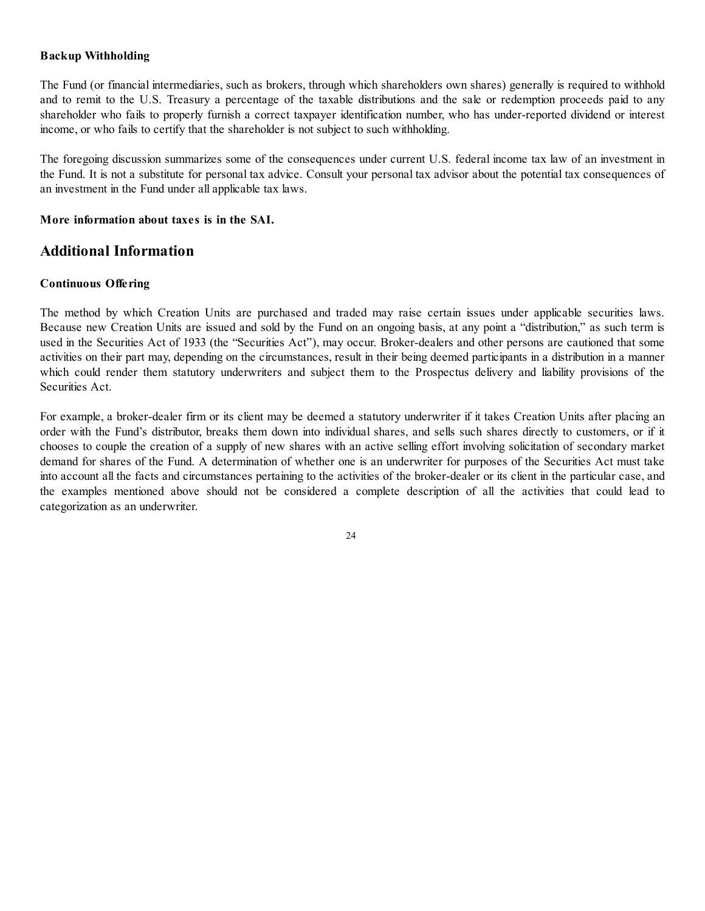#### **Backup Withholding**

The Fund (or financial intermediaries, such as brokers, through which shareholders own shares) generally is required to withhold and to remit to the U.S. Treasury a percentage of the taxable distributions and the sale or redemption proceeds paid to any shareholder who fails to properly furnish a correct taxpayer identification number, who has under-reported dividend or interest income, or who fails to certify that the shareholder is not subject to such withholding.

The foregoing discussion summarizes some of the consequences under current U.S. federal income tax law of an investment in the Fund. It is not a substitute for personal tax advice. Consult your personal tax advisor about the potential tax consequences of an investment in the Fund under all applicable tax laws.

#### **More information about taxes is in the SAI.**

## **Additional Information**

#### **Continuous Offering**

The method by which Creation Units are purchased and traded may raise certain issues under applicable securities laws. Because new Creation Units are issued and sold by the Fund on an ongoing basis, at any point a "distribution," as such term is used in the Securities Act of 1933 (the "Securities Act"), may occur. Broker-dealers and other persons are cautioned that some activities on their part may, depending on the circumstances, result in their being deemed participants in a distribution in a manner which could render them statutory underwriters and subject them to the Prospectus delivery and liability provisions of the Securities Act.

For example, a broker-dealer firm or its client may be deemed a statutory underwriter if it takes Creation Units after placing an order with the Fund's distributor, breaks them down into individual shares, and sells such shares directly to customers, or if it chooses to couple the creation of a supply of new shares with an active selling effort involving solicitation of secondary market demand for shares of the Fund. A determination of whether one is an underwriter for purposes of the Securities Act must take into account all the facts and circumstances pertaining to the activities of the broker-dealer or its client in the particular case, and the examples mentioned above should not be considered a complete description of all the activities that could lead to categorization as an underwriter.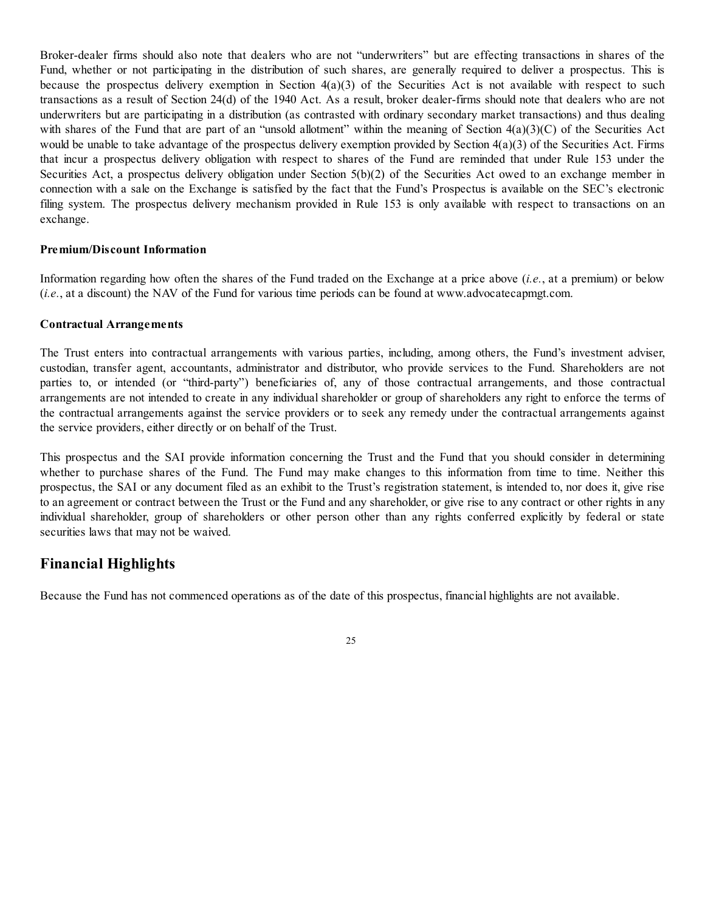Broker-dealer firms should also note that dealers who are not "underwriters" but are effecting transactions in shares of the Fund, whether or not participating in the distribution of such shares, are generally required to deliver a prospectus. This is because the prospectus delivery exemption in Section  $4(a)(3)$  of the Securities Act is not available with respect to such transactions as a result of Section 24(d) of the 1940 Act. As a result, broker dealer-firms should note that dealers who are not underwriters but are participating in a distribution (as contrasted with ordinary secondary market transactions) and thus dealing with shares of the Fund that are part of an "unsold allotment" within the meaning of Section 4(a)(3)(C) of the Securities Act would be unable to take advantage of the prospectus delivery exemption provided by Section 4(a)(3) of the Securities Act. Firms that incur a prospectus delivery obligation with respect to shares of the Fund are reminded that under Rule 153 under the Securities Act, a prospectus delivery obligation under Section 5(b)(2) of the Securities Act owed to an exchange member in connection with a sale on the Exchange is satisfied by the fact that the Fund's Prospectus is available on the SEC's electronic filing system. The prospectus delivery mechanism provided in Rule 153 is only available with respect to transactions on an exchange.

#### **Premium/Discount Information**

Information regarding how often the shares of the Fund traded on the Exchange at a price above (*i.e.*, at a premium) or below (*i.e.*, at a discount) the NAV of the Fund for various time periods can be found at www.advocatecapmgt.com.

#### **Contractual Arrangements**

The Trust enters into contractual arrangements with various parties, including, among others, the Fund's investment adviser, custodian, transfer agent, accountants, administrator and distributor, who provide services to the Fund. Shareholders are not parties to, or intended (or "third-party") beneficiaries of, any of those contractual arrangements, and those contractual arrangements are not intended to create in any individual shareholder or group of shareholders any right to enforce the terms of the contractual arrangements against the service providers or to seek any remedy under the contractual arrangements against the service providers, either directly or on behalf of the Trust.

This prospectus and the SAI provide information concerning the Trust and the Fund that you should consider in determining whether to purchase shares of the Fund. The Fund may make changes to this information from time to time. Neither this prospectus, the SAI or any document filed as an exhibit to the Trust's registration statement, is intended to, nor does it, give rise to an agreement or contract between the Trust or the Fund and any shareholder, or give rise to any contract or other rights in any individual shareholder, group of shareholders or other person other than any rights conferred explicitly by federal or state securities laws that may not be waived.

#### **Financial Highlights**

Because the Fund has not commenced operations as of the date of this prospectus, financial highlights are not available.